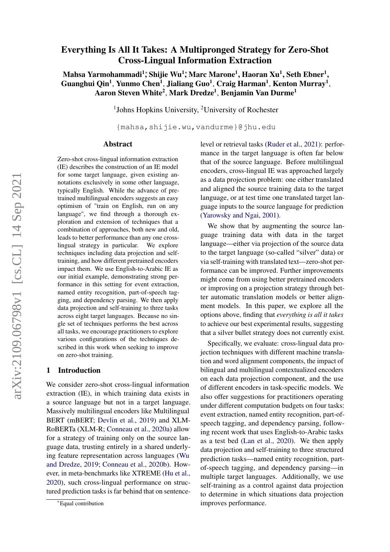# Everything Is All It Takes: A Multipronged Strategy for Zero-Shot Cross-Lingual Information Extraction

Mahsa Yarmohammadi<sup>1</sup>\*, Shijie Wu<sup>1</sup>\*, Marc Marone<sup>1</sup>, Haoran Xu<sup>1</sup>, Seth Ebner<sup>1</sup>, Guanghui Qin<sup>1</sup>, Yunmo Chen<sup>1</sup>, Jialiang Guo<sup>1</sup>, Craig Harman<sup>1</sup>, Kenton Murray<sup>1</sup>, Aaron Steven White<sup>2</sup>, Mark Dredze<sup>1</sup>, Benjamin Van Durme<sup>1</sup>

<sup>1</sup>Johns Hopkins University, <sup>2</sup>University of Rochester

{mahsa,shijie.wu,vandurme}@jhu.edu

#### Abstract

Zero-shot cross-lingual information extraction (IE) describes the construction of an IE model for some target language, given existing annotations exclusively in some other language, typically English. While the advance of pretrained multilingual encoders suggests an easy optimism of "train on English, run on any language", we find through a thorough exploration and extension of techniques that a combination of approaches, both new and old, leads to better performance than any one crosslingual strategy in particular. We explore techniques including data projection and selftraining, and how different pretrained encoders impact them. We use English-to-Arabic IE as our initial example, demonstrating strong performance in this setting for event extraction, named entity recognition, part-of-speech tagging, and dependency parsing. We then apply data projection and self-training to three tasks across eight target languages. Because no single set of techniques performs the best across all tasks, we encourage practitioners to explore various configurations of the techniques described in this work when seeking to improve on zero-shot training.

### 1 Introduction

We consider zero-shot cross-lingual information extraction (IE), in which training data exists in a source language but not in a target language. Massively multilingual encoders like Multilingual BERT (mBERT; [Devlin et al.,](#page-9-0) [2019\)](#page-9-0) and XLM-RoBERTa (XLM-R; [Conneau et al.,](#page-9-1) [2020a\)](#page-9-1) allow for a strategy of training only on the source language data, trusting entirely in a shared underlying feature representation across languages [\(Wu](#page-12-0) [and Dredze,](#page-12-0) [2019;](#page-12-0) [Conneau et al.,](#page-9-2) [2020b\)](#page-9-2). However, in meta-benchmarks like XTREME [\(Hu et al.,](#page-10-0) [2020\)](#page-10-0), such cross-lingual performance on structured prediction tasks is far behind that on sentencelevel or retrieval tasks [\(Ruder et al.,](#page-11-0) [2021\)](#page-11-0): performance in the target language is often far below that of the source language. Before multilingual encoders, cross-lingual IE was approached largely as a data projection problem: one either translated and aligned the source training data to the target language, or at test time one translated target language inputs to the source language for prediction [\(Yarowsky and Ngai,](#page-12-1) [2001\)](#page-12-1).

We show that by augmenting the source language training data with data in the target language—either via projection of the source data to the target language (so-called "silver" data) or via self-training with translated text—zero-shot performance can be improved. Further improvements might come from using better pretrained encoders or improving on a projection strategy through better automatic translation models or better alignment models. In this paper, we explore all the options above, finding that *everything is all it takes* to achieve our best experimental results, suggesting that a silver bullet strategy does not currently exist.

Specifically, we evaluate: cross-lingual data projection techniques with different machine translation and word alignment components, the impact of bilingual and multilingual contextualized encoders on each data projection component, and the use of different encoders in task-specific models. We also offer suggestions for practitioners operating under different computation budgets on four tasks: event extraction, named entity recognition, part-ofspeech tagging, and dependency parsing, following recent work that uses English-to-Arabic tasks as a test bed [\(Lan et al.,](#page-10-1) [2020\)](#page-10-1). We then apply data projection and self-training to three structured prediction tasks—named entity recognition, partof-speech tagging, and dependency parsing—in multiple target languages. Additionally, we use self-training as a control against data projection to determine in which situations data projection improves performance.

<sup>∗</sup>Equal contribution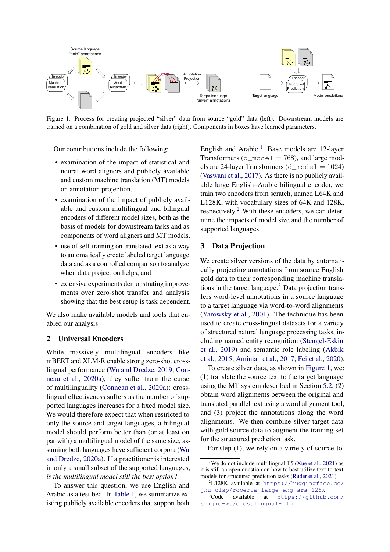<span id="page-1-3"></span>

Figure 1: Process for creating projected "silver" data from source "gold" data (left). Downstream models are trained on a combination of gold and silver data (right). Components in boxes have learned parameters.

Our contributions include the following:

- examination of the impact of statistical and neural word aligners and publicly available and custom machine translation (MT) models on annotation projection,
- examination of the impact of publicly available and custom multilingual and bilingual encoders of different model sizes, both as the basis of models for downstream tasks and as components of word aligners and MT models,
- use of self-training on translated text as a way to automatically create labeled target language data and as a controlled comparison to analyze when data projection helps, and
- extensive experiments demonstrating improvements over zero-shot transfer and analysis showing that the best setup is task dependent.

We also make available models and tools that enabled our analysis.

## 2 Universal Encoders

While massively multilingual encoders like mBERT and XLM-R enable strong zero-shot crosslingual performance [\(Wu and Dredze,](#page-12-0) [2019;](#page-12-0) [Con](#page-9-1)[neau et al.,](#page-9-1) [2020a\)](#page-9-1), they suffer from the curse of multilinguality [\(Conneau et al.,](#page-9-1) [2020a\)](#page-9-1): crosslingual effectiveness suffers as the number of supported languages increases for a fixed model size. We would therefore expect that when restricted to only the source and target languages, a bilingual model should perform better than (or at least on par with) a multilingual model of the same size, assuming both languages have sufficient corpora [\(Wu](#page-12-2) [and Dredze,](#page-12-2) [2020a\)](#page-12-2). If a practitioner is interested in only a small subset of the supported languages, *is the multilingual model still the best option*?

To answer this question, we use English and Arabic as a test bed. In [Table 1,](#page-2-0) we summarize existing publicly available encoders that support both

English and Arabic.<sup>[1](#page-1-0)</sup> Base models are 12-layer Transformers (d\_mode  $1 = 768$ ), and large models are 24-layer Transformers ( $d$ \_model = 1024) [\(Vaswani et al.,](#page-12-3) [2017\)](#page-12-3). As there is no publicly available large English–Arabic bilingual encoder, we train two encoders from scratch, named L64K and L128K, with vocabulary sizes of 64K and 128K, respectively.[2](#page-1-1) With these encoders, we can determine the impacts of model size and the number of supported languages.

## 3 Data Projection

We create silver versions of the data by automatically projecting annotations from source English gold data to their corresponding machine translations in the target language. $3$  Data projection transfers word-level annotations in a source language to a target language via word-to-word alignments [\(Yarowsky et al.,](#page-12-4) [2001\)](#page-12-4). The technique has been used to create cross-lingual datasets for a variety of structured natural language processing tasks, including named entity recognition [\(Stengel-Eskin](#page-12-5) [et al.,](#page-12-5) [2019\)](#page-12-5) and semantic role labeling [\(Akbik](#page-9-3) [et al.,](#page-9-3) [2015;](#page-9-3) [Aminian et al.,](#page-9-4) [2017;](#page-9-4) [Fei et al.,](#page-10-2) [2020\)](#page-10-2).

To create silver data, as shown in [Figure 1,](#page-1-3) we: (1) translate the source text to the target language using the MT system described in Section [5.2,](#page-3-0) (2) obtain word alignments between the original and translated parallel text using a word alignment tool, and (3) project the annotations along the word alignments. We then combine silver target data with gold source data to augment the training set for the structured prediction task.

For step (1), we rely on a variety of source-to-

<span id="page-1-0"></span><sup>&</sup>lt;sup>1</sup>We do not include multilingual T5 [\(Xue et al.,](#page-12-6) [2021\)](#page-12-6) as it is still an open question on how to best utilize text-to-text models for structured prediction tasks [\(Ruder et al.,](#page-11-0) [2021\)](#page-11-0).

<span id="page-1-1"></span><sup>2</sup>L128K available at [https://huggingface.co/](https://huggingface.co/jhu-clsp/roberta-large-eng-ara-128k) [jhu-clsp/roberta-large-eng-ara-128k](https://huggingface.co/jhu-clsp/roberta-large-eng-ara-128k)

<span id="page-1-2"></span><sup>3</sup>Code available at [https://github.com/](https://github.com/shijie-wu/crosslingual-nlp) [shijie-wu/crosslingual-nlp](https://github.com/shijie-wu/crosslingual-nlp)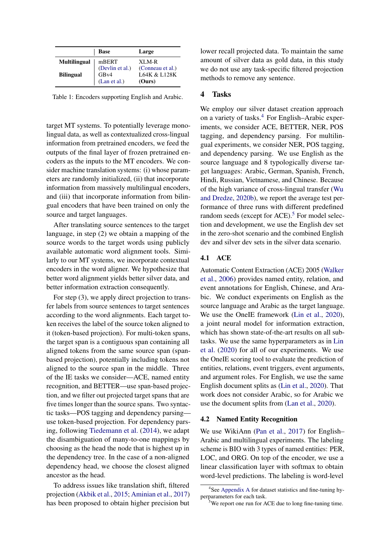<span id="page-2-0"></span>

|                     | <b>Base</b>                             | Large                                      |
|---------------------|-----------------------------------------|--------------------------------------------|
| <b>Multilingual</b> | mBERT                                   | XLM-R                                      |
| <b>Bilingual</b>    | (Devlin et al.)<br>GBv4<br>(Lan et al.) | (Conneau et al.)<br>L64K & L128K<br>(Ours) |

Table 1: Encoders supporting English and Arabic.

target MT systems. To potentially leverage monolingual data, as well as contextualized cross-lingual information from pretrained encoders, we feed the outputs of the final layer of frozen pretrained encoders as the inputs to the MT encoders. We consider machine translation systems: (i) whose parameters are randomly initialized, (ii) that incorporate information from massively multilingual encoders, and (iii) that incorporate information from bilingual encoders that have been trained on only the source and target languages.

After translating source sentences to the target language, in step (2) we obtain a mapping of the source words to the target words using publicly available automatic word alignment tools. Similarly to our MT systems, we incorporate contextual encoders in the word aligner. We hypothesize that better word alignment yields better silver data, and better information extraction consequently.

For step (3), we apply direct projection to transfer labels from source sentences to target sentences according to the word alignments. Each target token receives the label of the source token aligned to it (token-based projection). For multi-token spans, the target span is a contiguous span containing all aligned tokens from the same source span (spanbased projection), potentially including tokens not aligned to the source span in the middle. Three of the IE tasks we consider—ACE, named entity recognition, and BETTER—use span-based projection, and we filter out projected target spans that are five times longer than the source spans. Two syntactic tasks—POS tagging and dependency parsing use token-based projection. For dependency parsing, following [Tiedemann et al.](#page-12-7) [\(2014\)](#page-12-7), we adapt the disambiguation of many-to-one mappings by choosing as the head the node that is highest up in the dependency tree. In the case of a non-aligned dependency head, we choose the closest aligned ancestor as the head.

To address issues like translation shift, filtered projection [\(Akbik et al.,](#page-9-3) [2015;](#page-9-3) [Aminian et al.,](#page-9-4) [2017\)](#page-9-4) has been proposed to obtain higher precision but lower recall projected data. To maintain the same amount of silver data as gold data, in this study we do not use any task-specific filtered projection methods to remove any sentence.

## 4 Tasks

We employ our silver dataset creation approach on a variety of tasks.[4](#page-2-1) For English–Arabic experiments, we consider ACE, BETTER, NER, POS tagging, and dependency parsing. For multilingual experiments, we consider NER, POS tagging, and dependency parsing. We use English as the source language and 8 typologically diverse target languages: Arabic, German, Spanish, French, Hindi, Russian, Vietnamese, and Chinese. Because of the high variance of cross-lingual transfer [\(Wu](#page-12-8) [and Dredze,](#page-12-8) [2020b\)](#page-12-8), we report the average test performance of three runs with different predefined random seeds (except for ACE).<sup>[5](#page-2-2)</sup> For model selection and development, we use the English dev set in the zero-shot scenario and the combined English dev and silver dev sets in the silver data scenario.

## 4.1 ACE

Automatic Content Extraction (ACE) 2005 [\(Walker](#page-12-9) [et al.,](#page-12-9) [2006\)](#page-12-9) provides named entity, relation, and event annotations for English, Chinese, and Arabic. We conduct experiments on English as the source language and Arabic as the target language. We use the OneIE framework [\(Lin et al.,](#page-10-3) [2020\)](#page-10-3), a joint neural model for information extraction, which has shown state-of-the-art results on all subtasks. We use the same hyperparameters as in [Lin](#page-10-3) [et al.](#page-10-3) [\(2020\)](#page-10-3) for all of our experiments. We use the OneIE scoring tool to evaluate the prediction of entities, relations, event triggers, event arguments, and argument roles. For English, we use the same English document splits as [\(Lin et al.,](#page-10-3) [2020\)](#page-10-3). That work does not consider Arabic, so for Arabic we use the document splits from [\(Lan et al.,](#page-10-1) [2020\)](#page-10-1).

## 4.2 Named Entity Recognition

We use WikiAnn [\(Pan et al.,](#page-11-1) [2017\)](#page-11-1) for English– Arabic and multilingual experiments. The labeling scheme is BIO with 3 types of named entities: PER, LOC, and ORG. On top of the encoder, we use a linear classification layer with softmax to obtain word-level predictions. The labeling is word-level

<span id="page-2-1"></span><sup>4</sup> See [Appendix A](#page-14-0) for dataset statistics and fine-tuning hyperparameters for each task.

<span id="page-2-2"></span><sup>&</sup>lt;sup>5</sup>We report one run for ACE due to long fine-tuning time.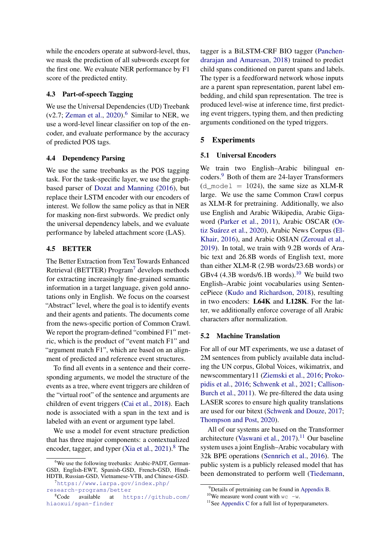while the encoders operate at subword-level, thus, we mask the prediction of all subwords except for the first one. We evaluate NER performance by F1 score of the predicted entity.

## 4.3 Part-of-speech Tagging

We use the Universal Dependencies (UD) Treebank  $(v2.7;$  [Zeman et al.,](#page-12-10) [2020\)](#page-12-10).<sup>[6](#page-3-1)</sup> Similar to NER, we use a word-level linear classifier on top of the encoder, and evaluate performance by the accuracy of predicted POS tags.

### 4.4 Dependency Parsing

We use the same treebanks as the POS tagging task. For the task-specific layer, we use the graphbased parser of [Dozat and Manning](#page-9-5) [\(2016\)](#page-9-5), but replace their LSTM encoder with our encoders of interest. We follow the same policy as that in NER for masking non-first subwords. We predict only the universal dependency labels, and we evaluate performance by labeled attachment score (LAS).

## 4.5 BETTER

The Better Extraction from Text Towards Enhanced Retrieval (BETTER) Program[7](#page-3-2) develops methods for extracting increasingly fine-grained semantic information in a target language, given gold annotations only in English. We focus on the coarsest "Abstract" level, where the goal is to identify events and their agents and patients. The documents come from the news-specific portion of Common Crawl. We report the program-defined "combined F1" metric, which is the product of "event match F1" and "argument match F1", which are based on an alignment of predicted and reference event structures.

To find all events in a sentence and their corresponding arguments, we model the structure of the events as a tree, where event triggers are children of the "virtual root" of the sentence and arguments are children of event triggers [\(Cai et al.,](#page-9-6) [2018\)](#page-9-6). Each node is associated with a span in the text and is labeled with an event or argument type label.

We use a model for event structure prediction that has three major components: a contextualized encoder, tagger, and typer  $(Xia et al., 2021)<sup>8</sup>$  $(Xia et al., 2021)<sup>8</sup>$  $(Xia et al., 2021)<sup>8</sup>$  $(Xia et al., 2021)<sup>8</sup>$  $(Xia et al., 2021)<sup>8</sup>$  $(Xia et al., 2021)<sup>8</sup>$  The tagger is a BiLSTM-CRF BIO tagger [\(Panchen](#page-11-2)[drarajan and Amaresan,](#page-11-2) [2018\)](#page-11-2) trained to predict child spans conditioned on parent spans and labels. The typer is a feedforward network whose inputs are a parent span representation, parent label embedding, and child span representation. The tree is produced level-wise at inference time, first predicting event triggers, typing them, and then predicting arguments conditioned on the typed triggers.

## 5 Experiments

## 5.1 Universal Encoders

We train two English–Arabic bilingual encoders.[9](#page-3-4) Both of them are 24-layer Transformers  $(d \mod 1 = 1024)$ , the same size as XLM-R large. We use the same Common Crawl corpus as XLM-R for pretraining. Additionally, we also use English and Arabic Wikipedia, Arabic Gigaword [\(Parker et al.,](#page-11-3) [2011\)](#page-11-3), Arabic OSCAR [\(Or](#page-11-4)[tiz Suárez et al.,](#page-11-4) [2020\)](#page-11-4), Arabic News Corpus [\(El-](#page-10-4)[Khair,](#page-10-4) [2016\)](#page-10-4), and Arabic OSIAN [\(Zeroual et al.,](#page-13-0) [2019\)](#page-13-0). In total, we train with 9.2B words of Arabic text and 26.8B words of English text, more than either XLM-R (2.9B words/23.6B words) or GBv4 (4.3B words/6.1B words).<sup>[10](#page-3-5)</sup> We build two English–Arabic joint vocabularies using SentencePiece [\(Kudo and Richardson,](#page-10-5) [2018\)](#page-10-5), resulting in two encoders: L64K and L128K. For the latter, we additionally enforce coverage of all Arabic characters after normalization.

## <span id="page-3-0"></span>5.2 Machine Translation

For all of our MT experiments, we use a dataset of 2M sentences from publicly available data including the UN corpus, Global Voices, wikimatrix, and newscommentary11 [\(Ziemski et al.,](#page-13-1) [2016;](#page-13-1) [Proko](#page-11-5)[pidis et al.,](#page-11-5) [2016;](#page-11-5) [Schwenk et al.,](#page-11-6) [2021;](#page-11-6) [Callison-](#page-9-7)[Burch et al.,](#page-9-7) [2011\)](#page-9-7). We pre-filtered the data using LASER scores to ensure high quality translations are used for our bitext [\(Schwenk and Douze,](#page-11-7) [2017;](#page-11-7) [Thompson and Post,](#page-12-12) [2020\)](#page-12-12).

All of our systems are based on the Transformer architecture [\(Vaswani et al.,](#page-12-3)  $2017$ ).<sup>[11](#page-3-6)</sup> Our baseline system uses a joint English–Arabic vocabulary with 32k BPE operations [\(Sennrich et al.,](#page-11-8) [2016\)](#page-11-8). The public system is a publicly released model that has been demonstrated to perform well [\(Tiedemann,](#page-12-13)

<span id="page-3-1"></span><sup>&</sup>lt;sup>6</sup>We use the following treebanks: Arabic-PADT, German-GSD, English-EWT, Spanish-GSD, French-GSD, Hindi-HDTB, Russian-GSD, Vietnamese-VTB, and Chinese-GSD.

<span id="page-3-2"></span><sup>7</sup>[https://www.iarpa.gov/index.php/](https://www.iarpa.gov/index.php/research-programs/better) [research-programs/better](https://www.iarpa.gov/index.php/research-programs/better)

<span id="page-3-3"></span> $8Code$  available at [https://github.com/](https://github.com/hiaoxui/span-finder) [hiaoxui/span-finder](https://github.com/hiaoxui/span-finder)

<span id="page-3-4"></span> $^{9}$ Details of pretraining can be found in [Appendix B.](#page-14-1)

<span id="page-3-5"></span><sup>&</sup>lt;sup>10</sup>We measure word count with  $wc -w$ .

<span id="page-3-6"></span><sup>&</sup>lt;sup>11</sup>See [Appendix C](#page-15-0) for a full list of hyperparameters.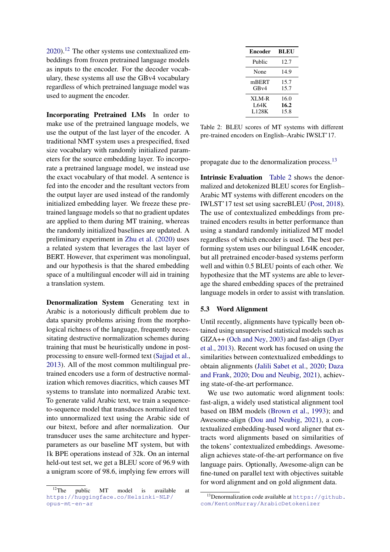$2020$ ).<sup>[12](#page-4-0)</sup> The other systems use contextualized embeddings from frozen pretrained language models as inputs to the encoder. For the decoder vocabulary, these systems all use the GBv4 vocabulary regardless of which pretrained language model was used to augment the encoder.

Incorporating Pretrained LMs In order to make use of the pretrained language models, we use the output of the last layer of the encoder. A traditional NMT system uses a prespecified, fixed size vocabulary with randomly initialized parameters for the source embedding layer. To incorporate a pretrained language model, we instead use the exact vocabulary of that model. A sentence is fed into the encoder and the resultant vectors from the output layer are used instead of the randomly initialized embedding layer. We freeze these pretrained language models so that no gradient updates are applied to them during MT training, whereas the randomly initialized baselines are updated. A preliminary experiment in [Zhu et al.](#page-13-2) [\(2020\)](#page-13-2) uses a related system that leverages the last layer of BERT. However, that experiment was monolingual, and our hypothesis is that the shared embedding space of a multilingual encoder will aid in training a translation system.

Denormalization System Generating text in Arabic is a notoriously difficult problem due to data sparsity problems arising from the morphological richness of the language, frequently necessitating destructive normalization schemes during training that must be heuristically undone in postprocessing to ensure well-formed text [\(Sajjad et al.,](#page-11-9) [2013\)](#page-11-9). All of the most common multilingual pretrained encoders use a form of destructive normalization which removes diacritics, which causes MT systems to translate into normalized Arabic text. To generate valid Arabic text, we train a sequenceto-sequence model that transduces normalized text into unnormalized text using the Arabic side of our bitext, before and after normalization. Our transducer uses the same architecture and hyperparameters as our baseline MT system, but with 1k BPE operations instead of 32k. On an internal held-out test set, we get a BLEU score of 96.9 with a unigram score of 98.6, implying few errors will

<span id="page-4-2"></span>

| Encoder                       | <b>BLEU</b>          |
|-------------------------------|----------------------|
| Public                        | 12.7                 |
| None                          | 14.9                 |
| mBERT<br>GBv4                 | 15.7<br>15.7         |
| XLM-R<br><b>L64K</b><br>L128K | 16.0<br>16.2<br>15.8 |

Table 2: BLEU scores of MT systems with different pre-trained encoders on English–Arabic IWSLT'17.

propagate due to the denormalization process.[13](#page-4-1)

Intrinsic Evaluation [Table 2](#page-4-2) shows the denormalized and detokenized BLEU scores for English– Arabic MT systems with different encoders on the IWLST'17 test set using sacreBLEU [\(Post,](#page-11-10) [2018\)](#page-11-10). The use of contextualized embeddings from pretrained encoders results in better performance than using a standard randomly initialized MT model regardless of which encoder is used. The best performing system uses our bilingual L64K encoder, but all pretrained encoder-based systems perform well and within 0.5 BLEU points of each other. We hypothesize that the MT systems are able to leverage the shared embedding spaces of the pretrained language models in order to assist with translation.

#### 5.3 Word Alignment

Until recently, alignments have typically been obtained using unsupervised statistical models such as GIZA++ [\(Och and Ney,](#page-11-11) [2003\)](#page-11-11) and fast-align [\(Dyer](#page-9-8) [et al.,](#page-9-8) [2013\)](#page-9-8). Recent work has focused on using the similarities between contextualized embeddings to obtain alignments [\(Jalili Sabet et al.,](#page-10-6) [2020;](#page-10-6) [Daza](#page-9-9) [and Frank,](#page-9-9) [2020;](#page-9-9) [Dou and Neubig,](#page-9-10) [2021\)](#page-9-10), achieving state-of-the-art performance.

We use two automatic word alignment tools: fast-align, a widely used statistical alignment tool based on IBM models [\(Brown et al.,](#page-9-11) [1993\)](#page-9-11); and Awesome-align [\(Dou and Neubig,](#page-9-10) [2021\)](#page-9-10), a contextualized embedding-based word aligner that extracts word alignments based on similarities of the tokens' contextualized embeddings. Awesomealign achieves state-of-the-art performance on five language pairs. Optionally, Awesome-align can be fine-tuned on parallel text with objectives suitable for word alignment and on gold alignment data.

<span id="page-4-0"></span> $12$ The public MT model is available at [https://huggingface.co/Helsinki-NLP/](https://huggingface.co/Helsinki-NLP/opus-mt-en-ar) [opus-mt-en-ar](https://huggingface.co/Helsinki-NLP/opus-mt-en-ar)

<span id="page-4-1"></span><sup>&</sup>lt;sup>13</sup>Denormalization code available at [https://github.](https://github.com/KentonMurray/ArabicDetokenizer) [com/KentonMurray/ArabicDetokenizer](https://github.com/KentonMurray/ArabicDetokenizer)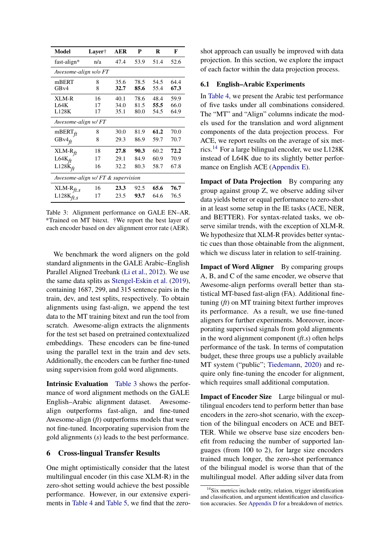<span id="page-5-0"></span>

| Model                             | Layer† | <b>AER</b> | P    | R    | F    |
|-----------------------------------|--------|------------|------|------|------|
| $fast-align*$                     | n/a    | 47.4       | 53.9 | 51.4 | 52.6 |
| Awesome-align w/o FT              |        |            |      |      |      |
| mBERT                             | 8      | 35.6       | 78.5 | 54.5 | 64.4 |
| GBv4                              | 8      | 32.7       | 85.6 | 55.4 | 67.3 |
| XLM-R                             | 16     | 40.1       | 78.6 | 48.4 | 59.9 |
| <b>L64K</b>                       | 17     | 34.0       | 81.5 | 55.5 | 66.0 |
| L128K                             | 17     | 35.1       | 80.0 | 54.5 | 64.9 |
| Awesome-align w/FT                |        |            |      |      |      |
| $mBERT_{ft}$                      | 8      | 30.0       | 81.9 | 61.2 | 70.0 |
| GB $v4$ ft                        | 8      | 29.3       | 86.9 | 59.7 | 70.7 |
| $XLM-Rft$                         | 18     | 27.8       | 90.3 | 60.2 | 72.2 |
| L64 $K_{ft}$                      | 17     | 29.1       | 84.9 | 60.9 | 70.9 |
| $L128K_{ft}$                      | 16     | 32.2       | 80.3 | 58.7 | 67.8 |
| Awesome-align w/ FT & supervision |        |            |      |      |      |
| XLM-R $f_{ft,s}$                  | 16     | 23.3       | 92.5 | 65.6 | 76.7 |
| $L128K_{ft,s}$                    | 17     | 23.5       | 93.7 | 64.6 | 76.5 |

Table 3: Alignment performance on GALE EN–AR. \*Trained on MT bitext. †We report the best layer of each encoder based on dev alignment error rate (AER).

We benchmark the word aligners on the gold standard alignments in the GALE Arabic–English Parallel Aligned Treebank [\(Li et al.,](#page-10-7) [2012\)](#page-10-7). We use the same data splits as [Stengel-Eskin et al.](#page-12-5) [\(2019\)](#page-12-5), containing 1687, 299, and 315 sentence pairs in the train, dev, and test splits, respectively. To obtain alignments using fast-align, we append the test data to the MT training bitext and run the tool from scratch. Awesome-align extracts the alignments for the test set based on pretrained contextualized embeddings. These encoders can be fine-tuned using the parallel text in the train and dev sets. Additionally, the encoders can be further fine-tuned using supervision from gold word alignments.

Intrinsic Evaluation [Table 3](#page-5-0) shows the performance of word alignment methods on the GALE English–Arabic alignment dataset. Awesomealign outperforms fast-align, and fine-tuned Awesome-align (*ft*) outperforms models that were not fine-tuned. Incorporating supervision from the gold alignments (*s*) leads to the best performance.

## 6 Cross-lingual Transfer Results

One might optimistically consider that the latest multilingual encoder (in this case XLM-R) in the zero-shot setting would achieve the best possible performance. However, in our extensive experiments in [Table 4](#page-6-0) and [Table 5,](#page-7-0) we find that the zeroshot approach can usually be improved with data projection. In this section, we explore the impact of each factor within the data projection process.

#### 6.1 English–Arabic Experiments

In [Table 4,](#page-6-0) we present the Arabic test performance of five tasks under all combinations considered. The "MT" and "Align" columns indicate the models used for the translation and word alignment components of the data projection process. For ACE, we report results on the average of six met-rics.<sup>[14](#page-5-1)</sup> For a large bilingual encoder, we use  $L128K$ instead of L64K due to its slightly better performance on English ACE [\(Appendix E\)](#page-15-1).

Impact of Data Projection By comparing any group against group Z, we observe adding silver data yields better or equal performance to zero-shot in at least some setup in the IE tasks (ACE, NER, and BETTER). For syntax-related tasks, we observe similar trends, with the exception of XLM-R. We hypothesize that XLM-R provides better syntactic cues than those obtainable from the alignment, which we discuss later in relation to self-training.

Impact of Word Aligner By comparing groups A, B, and C of the same encoder, we observe that Awesome-align performs overall better than statistical MT-based fast-align (FA). Additional finetuning (*ft*) on MT training bitext further improves its performance. As a result, we use fine-tuned aligners for further experiments. Moreover, incorporating supervised signals from gold alignments in the word alignment component (*ft.s*) often helps performance of the task. In terms of computation budget, these three groups use a publicly available MT system ("public"; [Tiedemann,](#page-12-13) [2020\)](#page-12-13) and require only fine-tuning the encoder for alignment, which requires small additional computation.

Impact of Encoder Size Large bilingual or multilingual encoders tend to perform better than base encoders in the zero-shot scenario, with the exception of the bilingual encoders on ACE and BET-TER. While we observe base size encoders benefit from reducing the number of supported languages (from 100 to 2), for large size encoders trained much longer, the zero-shot performance of the bilingual model is worse than that of the multilingual model. After adding silver data from

<span id="page-5-1"></span><sup>&</sup>lt;sup>14</sup>Six metrics include entity, relation, trigger identification and classification, and argument identification and classification accuracies. See [Appendix D](#page-15-2) for a breakdown of metrics.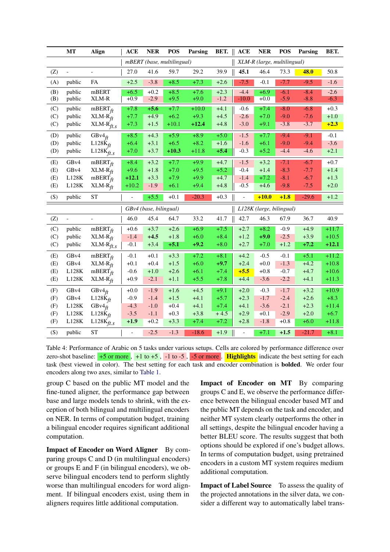<span id="page-6-0"></span>

|     | <b>MT</b>                | <b>Align</b>                                                                   | <b>ACE</b>    | <b>NER</b>             | <b>POS</b>                 | Parsing | BET.   | <b>ACE</b>     | <b>NER</b>                  | <b>POS</b> | Parsing     | BET.    |
|-----|--------------------------|--------------------------------------------------------------------------------|---------------|------------------------|----------------------------|---------|--------|----------------|-----------------------------|------------|-------------|---------|
|     |                          |                                                                                |               |                        | mBERT (base, multilingual) |         |        |                | XLM-R (large, multilingual) |            |             |         |
| (Z) | $\blacksquare$           | $\overline{a}$                                                                 | 27.0          | 41.6                   | 59.7                       | 29.2    | 39.9   | 45.1           | 46.4                        | 73.3       | <b>48.0</b> | 50.8    |
| (A) | public                   | FA                                                                             | $+2.5$        | $-3.8$                 | $+8.5$                     | $+7.3$  | $+2.6$ | $-7.5$         | $-0.1$                      | $-7.7$     | $-9.5$      | $-1.6$  |
| (B) | public                   | mBERT                                                                          | $+6.5$        | $+0.2$                 | $+8.5$                     | $+7.6$  | $+2.3$ | $-4.4$         | $+6.9$                      | $-6.1$     | $-8.4$      | $-2.6$  |
| (B) | public                   | XLM-R                                                                          | $+0.9$        | $-2.9$                 | $+9.5$                     | $+9.0$  | $-1.2$ | $-10.0$        | $+0.0$                      | $-5.9$     | $-8.8$      | $-6.3$  |
| (C) | public                   | $mBERT_{ft}$                                                                   | $+7.8$        | $+5.6$                 | $+7.7$                     | $+10.0$ | $+4.1$ | $-0.6$         | $+7.4$                      | $-8.0$     | $-6.8$      | $+0.3$  |
| (C) | public                   | $XLM-R$ <sub>ft</sub>                                                          | $+7.7$        | $+4.9$                 | $+6.2$                     | $+9.3$  | $+4.5$ | $-2.6$         | $+7.0$                      | $-9.0$     | $-7.6$      | $+1.0$  |
| (C) | public                   | $\text{XLM-R}_{ft,s}$                                                          | $+7.3$        | $+1.5$                 | $+10.1$                    | $+12.4$ | $+4.8$ | $-3.0$         | $+9.1$                      | $-3.8$     | $-3.7$      | $+2.3$  |
| (D) | public                   | GBv $4ft$                                                                      | $+8.5$        | $+4.3$                 | $+5.9$                     | $+8.9$  | $+5.0$ | $-1.5$         | $+7.7$                      | $-9.4$     | $-9.1$      | $-0.1$  |
| (D) | public                   | L128 $K_{ft}$                                                                  | $+6.4$        | $+3.1$                 | $+6.5$                     | $+8.2$  | $+1.6$ | $-1.6$         | $+6.1$                      | $-9.0$     | $-9.4$      | $-3.6$  |
| (D) | public                   | L128 $\vec{k}_{ft,s}$                                                          | $+7.0$        | $+3.7$                 | $+10.3$                    | $+11.8$ | $+5.4$ | $-0.3$         | $+5.2$                      | $-4.4$     | $-4.6$      | $+2.1$  |
| (E) | GBv4                     | $mBERT_{ft}$                                                                   | $+8.4$        | $+3.2$                 | $+7.7$                     | $+9.9$  | $+4.7$ | $-1.5$         | $+3.2$                      | $-7.1$     | $-6.7$      | $+0.7$  |
| (E) | GB <sub>v4</sub>         | $XLM-R_H$                                                                      | $+9.6$        | $+1.8$                 | $+7.0$                     | $+9.5$  | $+5.2$ | $-0.4$         | $+1.4$                      | $-8.3$     | $-7.7$      | $+1.4$  |
| (E) | L128K                    | $mBERT_{ft}$                                                                   | $+12.1$       | $+3.3$                 | $+7.9$                     | $+9.9$  | $+4.7$ | $-1.4$         | $+7.2$                      | $-8.1$     | $-6.7$      | $+1.3$  |
| (E) | L128K                    | $XLM-R$ <sub>ft</sub>                                                          | $+10.2$       | $-1.9$                 | $+6.1$                     | $+9.4$  | $+4.8$ | $-0.5$         | $+4.6$                      | $-9.8$     | $-7.5$      | $+2.0$  |
| (S) | public                   | <b>ST</b>                                                                      | $\frac{1}{2}$ | $+5.5$                 | $+0.1$                     | $-20.3$ | $+0.3$ | $\blacksquare$ | $+10.0$                     | $+1.8$     | $-29.6$     | $+1.2$  |
|     |                          |                                                                                |               | GBv4 (base, bilingual) |                            |         |        |                | L128K (large, bilingual)    |            |             |         |
| (Z) | $\overline{\phantom{0}}$ | $\overline{\phantom{0}}$                                                       | 46.0          | 45.4                   | 64.7                       | 33.2    |        |                |                             |            |             |         |
|     |                          |                                                                                |               |                        |                            |         | 41.7   | 42.7           | 46.3                        | 67.9       | 36.7        | 40.9    |
| (C) | public                   |                                                                                | $+0.6$        | $+3.7$                 | $+2.6$                     | $+6.9$  | $+7.5$ | $+2.7$         | $+8.2$                      | $-0.9$     | $+4.9$      | $+11.7$ |
| (C) | public                   | $mBERT_{ft}$                                                                   | $-1.4$        | $+4.5$                 | $+1.8$                     | $+6.0$  | $+8.4$ | $+1.2$         | $+9.0$                      | $-2.5$     | $+3.9$      | $+10.5$ |
| (C) | public                   | $XLM-R$ <sup><math>\dot{f}</math></sup><br>XLM- $\overline{\mathrm{R}}_{ft,s}$ | $-0.1$        | $+3.4$                 | $+5.1$                     | $+9.2$  | $+8.0$ | $+2.7$         | $+7.0$                      | $+1.2$     | $+7.2$      | $+12.1$ |
| (E) | GB <sub>v4</sub>         | $mBERT_{ft}$                                                                   | $-0.1$        | $+0.1$                 | $+3.3$                     | $+7.2$  | $+8.1$ | $+4.2$         | $-0.5$                      | $-0.1$     | $+5.1$      | $+11.2$ |
| (E) | GB <sub>v4</sub>         | $XLM-R$ <sub>ft</sub>                                                          | $+0.1$        | $+0.4$                 | $+1.5$                     | $+6.0$  | $+9.7$ | $+2.4$         | $+0.0$                      | $-1.3$     | $+4.2$      | $+10.8$ |
| (E) | L128K                    | mBERT $\check{f}$                                                              | $-0.6$        | $+1.0$                 | $+2.6$                     | $+6.1$  | $+7.4$ | $+5.5$         | $+0.8$                      | $-0.7$     | $+4.7$      | $+10.6$ |
| (E) | L128K                    | $XLM-R$ <sub>ft</sub>                                                          | $+0.9$        | $-2.1$                 | $+1.1$                     | $+5.5$  | $+7.8$ | $+4.4$         | $-3.6$                      | $-2.2$     | $+4.1$      | $+11.3$ |
| (F) | GBv4                     | GBv $4ft$                                                                      | $+0.0$        | $-1.9$                 | $+1.6$                     | $+4.5$  | $+9.1$ | $+2.0$         | $-0.3$                      | $-1.7$     | $+3.2$      | $+10.9$ |
| (F) | GBv4                     |                                                                                | $-0.9$        | $-1.4$                 | $+1.5$                     | $+4.1$  | $+5.7$ | $+2.3$         | $-1.7$                      | $-2.4$     | $+2.6$      | $+8.3$  |
| (F) | L128K                    | $L128K_{ft}$<br>GBv $4_H^{\circ}$                                              | $-4.3$        | $-1.0$                 | $+0.4$                     | $+4.1$  | $+7.4$ | $+4.1$         | $-3.6$                      | $-2.1$     | $+2.3$      | $+11.4$ |
| (F) | L128K                    | $L128K_{ft}$                                                                   | $-3.5$        | $-1.1$                 | $+0.3$                     | $+3.8$  | $+4.5$ | $+2.9$         | $+0.1$                      | $-2.9$     | $+2.0$      | $+6.7$  |
| (F) | L128K                    | $L128K_{ft,s}$                                                                 | $+1.9$        | $+0.2$                 | $+3.3$                     | $+7.4$  | $+7.2$ | $+2.8$         | $-1.8$                      | $+0.8$     | $+6.0$      | $+11.8$ |

Table 4: Performance of Arabic on 5 tasks under various setups. Cells are colored by performance difference over zero-shot baseline:  $+5$  or more ,  $+1$  to  $+5$  ,  $-1$  to  $-5$  ,  $-5$  or more . Highlights indicate the best setting for each task (best viewed in color). The best setting for each task and encoder combination is bolded. We order four encoders along two axes, similar to [Table 1.](#page-2-0)

group C based on the public MT model and the fine-tuned aligner, the performance gap between base and large models tends to shrink, with the exception of both bilingual and multilingual encoders on NER. In terms of computation budget, training a bilingual encoder requires significant additional computation.

Impact of Encoder on Word Aligner By comparing groups C and D (in multilingual encoders) or groups E and F (in bilingual encoders), we observe bilingual encoders tend to perform slightly worse than multilingual encoders for word alignment. If bilingual encoders exist, using them in aligners requires little additional computation.

Impact of Encoder on MT By comparing groups C and E, we observe the performance difference between the bilingual encoder based MT and the public MT depends on the task and encoder, and neither MT system clearly outperforms the other in all settings, despite the bilingual encoder having a better BLEU score. The results suggest that both options should be explored if one's budget allows. In terms of computation budget, using pretrained encoders in a custom MT system requires medium additional computation.

Impact of Label Source To assess the quality of the projected annotations in the silver data, we consider a different way to automatically label trans-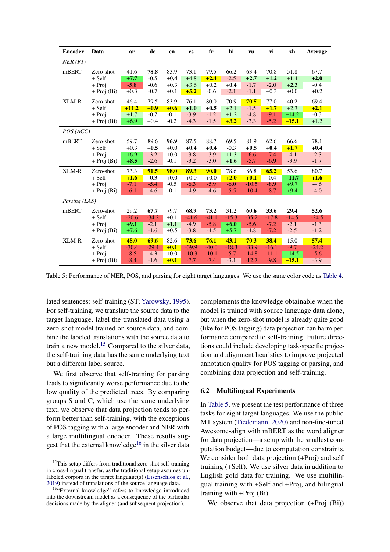<span id="page-7-0"></span>

| <b>Encoder</b> | Data          | ar      | de      | en     | es      | fr          | hi      | ru      | vi      | zh      | Average |
|----------------|---------------|---------|---------|--------|---------|-------------|---------|---------|---------|---------|---------|
| $NER$ (F1)     |               |         |         |        |         |             |         |         |         |         |         |
| mBERT          | Zero-shot     | 41.6    | 78.8    | 83.9   | 73.1    | 79.5        | 66.2    | 63.4    | 70.8    | 51.8    | 67.7    |
|                | + Self        | $+7.7$  | $-0.5$  | $+0.4$ | $+4.8$  | $+2.4$      | $-2.5$  | $+2.7$  | $+1.2$  | $+1.4$  | $+2.0$  |
|                | + Proj        | $-5.8$  | $-0.6$  | $+0.3$ | $+3.6$  | $+0.2$      | $+0.4$  | $-1.7$  | $-2.0$  | $+2.3$  | $-0.4$  |
|                | $+$ Proj (Bi) | $+0.3$  | $-0.7$  | $+0.1$ | $+5.2$  | $-0.6$      | $-2.1$  | $-1.1$  | $+0.3$  | $+0.0$  | $+0.2$  |
| XLM-R          | Zero-shot     | 46.4    | 79.5    | 83.9   | 76.1    | 80.0        | 70.9    | 70.5    | 77.0    | 40.2    | 69.4    |
|                | $+$ Self      | $+11.2$ | $+0.9$  | $+0.6$ | $+1.0$  | $+0.5$      | $+2.1$  | $-1.5$  | $+1.7$  | $+2.3$  | $+2.1$  |
|                | + Proj        | $+1.7$  | $-0.7$  | $-0.1$ | $-3.9$  | $-1.2$      | $+1.2$  | $-4.8$  | $-9.1$  | $+14.2$ | $-0.3$  |
|                | $+$ Proj (Bi) | $+6.9$  | $+0.4$  | $-0.2$ | $-4.3$  | $-1.5$      | $+3.2$  | $-3.3$  | $-5.2$  | $+15.1$ | $+1.2$  |
| POS (ACC)      |               |         |         |        |         |             |         |         |         |         |         |
| mBERT          | Zero-shot     | 59.7    | 89.6    | 96.9   | 87.5    | 88.7        | 69.5    | 81.9    | 62.6    | 66.6    | 78.1    |
|                | $+$ Self      | $+0.3$  | $+0.5$  | $+0.0$ | $+0.4$  | $+0.4$      | $-0.3$  | $+0.5$  | $+0.4$  | $+1.7$  | $+0.4$  |
|                | + Proj        | $+6.9$  | $-3.2$  | $+0.0$ | $-3.8$  | $-3.9$      | $+1.3$  | $-6.6$  | $-7.4$  | $-4.1$  | $-2.3$  |
|                | $+$ Proj (Bi) | $+8.5$  | $-2.6$  | $-0.1$ | $-3.2$  | $-3.0$      | $+1.6$  | $-5.7$  | $-6.9$  | $-3.9$  | $-1.7$  |
| XLM-R          | Zero-shot     | 73.3    | 91.5    | 98.0   | 89.3    | <b>90.0</b> | 78.6    | 86.8    | 65.2    | 53.6    | 80.7    |
|                | $+$ Self      | $+1.6$  | $-0.3$  | $+0.0$ | $+0.0$  | $+0.0$      | $+2.0$  | $+0.1$  | $-0.4$  | $+11.7$ | $+1.6$  |
|                | + Proj        | $-7.1$  | $-5.4$  | $-0.5$ | $-6.3$  | $-5.9$      | $-6.0$  | $-10.5$ | $-8.9$  | $+9.7$  | $-4.6$  |
|                | $+$ Proj (Bi) | $-6.1$  | $-4.6$  | $-0.1$ | $-4.9$  | $-4.6$      | $-5.5$  | $-10.4$ | $-8.7$  | $+9.4$  | $-4.0$  |
| Parsing (LAS)  |               |         |         |        |         |             |         |         |         |         |         |
| mBERT          | Zero-shot     | 29.2    | 67.7    | 79.7   | 68.9    | 73.2        | 31.2    | 60.6    | 33.6    | 29.4    | 52.6    |
|                | $+$ Self      | $-20.6$ | $-34.2$ | $+0.1$ | $-41.6$ | $-41.1$     | $-15.3$ | $-35.2$ | $-17.8$ | $-14.5$ | $-24.5$ |
|                | + Proj        | $+9.1$  | $-2.1$  | $+1.1$ | $-4.9$  | $-5.8$      | $+6.0$  | $-5.6$  | $-7.2$  | $-2.1$  | $-1.3$  |
|                | $+$ Proj (Bi) | $+7.6$  | $-1.6$  | $+0.5$ | $-3.8$  | $-4.5$      | $+5.7$  | $-4.8$  | $-7.2$  | $-2.5$  | $-1.2$  |
| <b>XLM-R</b>   | Zero-shot     | 48.0    | 69.6    | 82.6   | 73.6    | 76.1        | 43.1    | 70.3    | 38.4    | 15.0    | 57.4    |
|                | $+$ Self      | $-30.4$ | $-29.4$ | $+0.1$ | $-39.9$ | $-40.0$     | $-18.3$ | $-33.9$ | $-16.1$ | $-9.7$  | $-24.2$ |
|                | + Proj        | $-8.5$  | $-4.3$  | $+0.0$ | $-10.3$ | $-10.1$     | $-5.7$  | $-14.8$ | $-11.1$ | $+14.5$ | $-5.6$  |
|                | $+$ Proj (Bi) | $-8.4$  | $-1.6$  | $+0.1$ | $-7.7$  | $-7.4$      | $-3.1$  | $-12.7$ | $-9.8$  | $+15.1$ | $-3.9$  |

Table 5: Performance of NER, POS, and parsing for eight target languages. We use the same color code as [Table 4.](#page-6-0)

lated sentences: self-training (ST; [Yarowsky,](#page-12-14) [1995\)](#page-12-14). For self-training, we translate the source data to the target language, label the translated data using a zero-shot model trained on source data, and combine the labeled translations with the source data to train a new model.[15](#page-7-1) Compared to the silver data, the self-training data has the same underlying text but a different label source.

We first observe that self-training for parsing leads to significantly worse performance due to the low quality of the predicted trees. By comparing groups S and C, which use the same underlying text, we observe that data projection tends to perform better than self-training, with the exceptions of POS tagging with a large encoder and NER with a large multilingual encoder. These results sug-gest that the external knowledge<sup>[16](#page-7-2)</sup> in the silver data

complements the knowledge obtainable when the model is trained with source language data alone, but when the zero-shot model is already quite good (like for POS tagging) data projection can harm performance compared to self-training. Future directions could include developing task-specific projection and alignment heuristics to improve projected annotation quality for POS tagging or parsing, and combining data projection and self-training.

## 6.2 Multilingual Experiments

In [Table 5,](#page-7-0) we present the test performance of three tasks for eight target languages. We use the public MT system [\(Tiedemann,](#page-12-13) [2020\)](#page-12-13) and non-fine-tuned Awesome-align with mBERT as the word aligner for data projection—a setup with the smallest computation budget—due to computation constraints. We consider both data projection (+Proj) and self training (+Self). We use silver data in addition to English gold data for training. We use multilingual training with +Self and +Proj, and bilingual training with +Proj (Bi).

We observe that data projection  $(+Proj (Bi))$ 

<span id="page-7-1"></span><sup>&</sup>lt;sup>15</sup>This setup differs from traditional zero-shot self-training in cross-lingual transfer, as the traditional setup assumes unlabeled corpora in the target language(s) [\(Eisenschlos et al.,](#page-10-8) [2019\)](#page-10-8) instead of translations of the source language data.

<span id="page-7-2"></span><sup>&</sup>lt;sup>16</sup>"External knowledge" refers to knowledge introduced into the downstream model as a consequence of the particular decisions made by the aligner (and subsequent projection).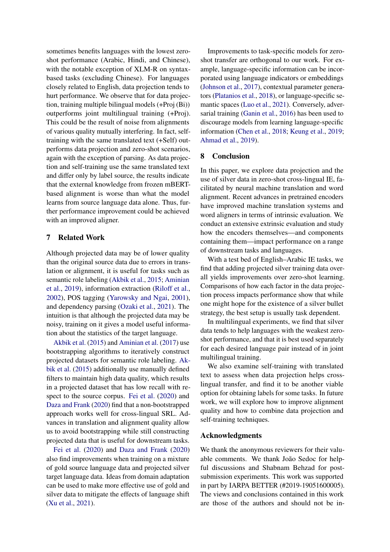sometimes benefits languages with the lowest zeroshot performance (Arabic, Hindi, and Chinese), with the notable exception of XLM-R on syntaxbased tasks (excluding Chinese). For languages closely related to English, data projection tends to hurt performance. We observe that for data projection, training multiple bilingual models (+Proj (Bi)) outperforms joint multilingual training (+Proj). This could be the result of noise from alignments of various quality mutually interfering. In fact, selftraining with the same translated text (+Self) outperforms data projection and zero-shot scenarios, again with the exception of parsing. As data projection and self-training use the same translated text and differ only by label source, the results indicate that the external knowledge from frozen mBERTbased alignment is worse than what the model learns from source language data alone. Thus, further performance improvement could be achieved with an improved aligner.

## 7 Related Work

Although projected data may be of lower quality than the original source data due to errors in translation or alignment, it is useful for tasks such as semantic role labeling [\(Akbik et al.,](#page-9-3) [2015;](#page-9-3) [Aminian](#page-9-12) [et al.,](#page-9-12) [2019\)](#page-9-12), information extraction [\(Riloff et al.,](#page-11-12) [2002\)](#page-11-12), POS tagging [\(Yarowsky and Ngai,](#page-12-1) [2001\)](#page-12-1), and dependency parsing [\(Ozaki et al.,](#page-11-13) [2021\)](#page-11-13). The intuition is that although the projected data may be noisy, training on it gives a model useful information about the statistics of the target language.

[Akbik et al.](#page-9-3) [\(2015\)](#page-9-3) and [Aminian et al.](#page-9-4) [\(2017\)](#page-9-4) use bootstrapping algorithms to iteratively construct projected datasets for semantic role labeling. [Ak](#page-9-3)[bik et al.](#page-9-3) [\(2015\)](#page-9-3) additionally use manually defined filters to maintain high data quality, which results in a projected dataset that has low recall with respect to the source corpus. [Fei et al.](#page-10-2) [\(2020\)](#page-10-2) and [Daza and Frank](#page-9-9) [\(2020\)](#page-9-9) find that a non-bootstrapped approach works well for cross-lingual SRL. Advances in translation and alignment quality allow us to avoid bootstrapping while still constructing projected data that is useful for downstream tasks.

[Fei et al.](#page-10-2) [\(2020\)](#page-10-2) and [Daza and Frank](#page-9-9) [\(2020\)](#page-9-9) also find improvements when training on a mixture of gold source language data and projected silver target language data. Ideas from domain adaptation can be used to make more effective use of gold and silver data to mitigate the effects of language shift [\(Xu et al.,](#page-12-15) [2021\)](#page-12-15).

Improvements to task-specific models for zeroshot transfer are orthogonal to our work. For example, language-specific information can be incorporated using language indicators or embeddings [\(Johnson et al.,](#page-10-9) [2017\)](#page-10-9), contextual parameter generators [\(Platanios et al.,](#page-11-14) [2018\)](#page-11-14), or language-specific semantic spaces [\(Luo et al.,](#page-11-15) [2021\)](#page-11-15). Conversely, adversarial training [\(Ganin et al.,](#page-10-10) [2016\)](#page-10-10) has been used to discourage models from learning language-specific information [\(Chen et al.,](#page-9-13) [2018;](#page-9-13) [Keung et al.,](#page-10-11) [2019;](#page-10-11) [Ahmad et al.,](#page-9-14) [2019\)](#page-9-14).

### 8 Conclusion

In this paper, we explore data projection and the use of silver data in zero-shot cross-lingual IE, facilitated by neural machine translation and word alignment. Recent advances in pretrained encoders have improved machine translation systems and word aligners in terms of intrinsic evaluation. We conduct an extensive extrinsic evaluation and study how the encoders themselves—and components containing them—impact performance on a range of downstream tasks and languages.

With a test bed of English–Arabic IE tasks, we find that adding projected silver training data overall yields improvements over zero-shot learning. Comparisons of how each factor in the data projection process impacts performance show that while one might hope for the existence of a silver bullet strategy, the best setup is usually task dependent.

In multilingual experiments, we find that silver data tends to help languages with the weakest zeroshot performance, and that it is best used separately for each desired language pair instead of in joint multilingual training.

We also examine self-training with translated text to assess when data projection helps crosslingual transfer, and find it to be another viable option for obtaining labels for some tasks. In future work, we will explore how to improve alignment quality and how to combine data projection and self-training techniques.

#### Acknowledgments

We thank the anonymous reviewers for their valuable comments. We thank João Sedoc for helpful discussions and Shabnam Behzad for postsubmission experiments. This work was supported in part by IARPA BETTER (#2019-19051600005). The views and conclusions contained in this work are those of the authors and should not be in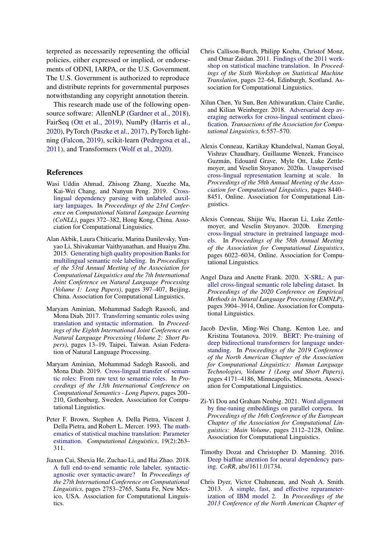terpreted as necessarily representing the official policies, either expressed or implied, or endorsements of ODNI, IARPA, or the U.S. Government. The U.S. Government is authorized to reproduce and distribute reprints for governmental purposes notwithstanding any copyright annotation therein.

This research made use of the following opensource software: AllenNLP [\(Gardner et al.,](#page-10-12) [2018\)](#page-10-12), FairSeq [\(Ott et al.,](#page-11-16) [2019\)](#page-11-16), NumPy [\(Harris et al.,](#page-10-13) [2020\)](#page-10-13), PyTorch [\(Paszke et al.,](#page-11-17) [2017\)](#page-11-17), PyTorch lightning [\(Falcon,](#page-10-14) [2019\)](#page-10-14), scikit-learn [\(Pedregosa et al.,](#page-11-18) [2011\)](#page-11-18), and Transformers [\(Wolf et al.,](#page-12-16) [2020\)](#page-12-16).

#### References

- <span id="page-9-14"></span>Wasi Uddin Ahmad, Zhisong Zhang, Xuezhe Ma, Kai-Wei Chang, and Nanyun Peng. 2019. [Cross](https://doi.org/10.18653/v1/K19-1035)[lingual dependency parsing with unlabeled auxil](https://doi.org/10.18653/v1/K19-1035)[iary languages.](https://doi.org/10.18653/v1/K19-1035) In *Proceedings of the 23rd Conference on Computational Natural Language Learning (CoNLL)*, pages 372–382, Hong Kong, China. Association for Computational Linguistics.
- <span id="page-9-3"></span>Alan Akbik, Laura Chiticariu, Marina Danilevsky, Yunyao Li, Shivakumar Vaithyanathan, and Huaiyu Zhu. 2015. [Generating high quality proposition Banks for](https://doi.org/10.3115/v1/P15-1039) [multilingual semantic role labeling.](https://doi.org/10.3115/v1/P15-1039) In *Proceedings of the 53rd Annual Meeting of the Association for Computational Linguistics and the 7th International Joint Conference on Natural Language Processing (Volume 1: Long Papers)*, pages 397–407, Beijing, China. Association for Computational Linguistics.
- <span id="page-9-4"></span>Maryam Aminian, Mohammad Sadegh Rasooli, and Mona Diab. 2017. [Transferring semantic roles using](https://aclanthology.org/I17-2003) [translation and syntactic information.](https://aclanthology.org/I17-2003) In *Proceedings of the Eighth International Joint Conference on Natural Language Processing (Volume 2: Short Papers)*, pages 13–19, Taipei, Taiwan. Asian Federation of Natural Language Processing.
- <span id="page-9-12"></span>Maryam Aminian, Mohammad Sadegh Rasooli, and Mona Diab. 2019. [Cross-lingual transfer of seman](https://doi.org/10.18653/v1/W19-0417)[tic roles: From raw text to semantic roles.](https://doi.org/10.18653/v1/W19-0417) In *Proceedings of the 13th International Conference on Computational Semantics - Long Papers*, pages 200– 210, Gothenburg, Sweden. Association for Computational Linguistics.
- <span id="page-9-11"></span>Peter F. Brown, Stephen A. Della Pietra, Vincent J. Della Pietra, and Robert L. Mercer. 1993. [The math](https://aclanthology.org/J93-2003)[ematics of statistical machine translation: Parameter](https://aclanthology.org/J93-2003) [estimation.](https://aclanthology.org/J93-2003) *Computational Linguistics*, 19(2):263– 311.
- <span id="page-9-6"></span>Jiaxun Cai, Shexia He, Zuchao Li, and Hai Zhao. 2018. [A full end-to-end semantic role labeler, syntactic](https://aclanthology.org/C18-1233)[agnostic over syntactic-aware?](https://aclanthology.org/C18-1233) In *Proceedings of the 27th International Conference on Computational Linguistics*, pages 2753–2765, Santa Fe, New Mexico, USA. Association for Computational Linguistics.
- <span id="page-9-7"></span>Chris Callison-Burch, Philipp Koehn, Christof Monz, and Omar Zaidan. 2011. [Findings of the 2011 work](https://aclanthology.org/W11-2103)[shop on statistical machine translation.](https://aclanthology.org/W11-2103) In *Proceedings of the Sixth Workshop on Statistical Machine Translation*, pages 22–64, Edinburgh, Scotland. Association for Computational Linguistics.
- <span id="page-9-13"></span>Xilun Chen, Yu Sun, Ben Athiwaratkun, Claire Cardie, and Kilian Weinberger. 2018. [Adversarial deep av](https://doi.org/10.1162/tacl_a_00039)[eraging networks for cross-lingual sentiment classi](https://doi.org/10.1162/tacl_a_00039)[fication.](https://doi.org/10.1162/tacl_a_00039) *Transactions of the Association for Computational Linguistics*, 6:557–570.
- <span id="page-9-1"></span>Alexis Conneau, Kartikay Khandelwal, Naman Goyal, Vishrav Chaudhary, Guillaume Wenzek, Francisco Guzmán, Edouard Grave, Myle Ott, Luke Zettlemoyer, and Veselin Stoyanov. 2020a. [Unsupervised](https://doi.org/10.18653/v1/2020.acl-main.747) [cross-lingual representation learning at scale.](https://doi.org/10.18653/v1/2020.acl-main.747) In *Proceedings of the 58th Annual Meeting of the Association for Computational Linguistics*, pages 8440– 8451, Online. Association for Computational Linguistics.
- <span id="page-9-2"></span>Alexis Conneau, Shijie Wu, Haoran Li, Luke Zettlemoyer, and Veselin Stoyanov. 2020b. [Emerging](https://doi.org/10.18653/v1/2020.acl-main.536) [cross-lingual structure in pretrained language mod](https://doi.org/10.18653/v1/2020.acl-main.536)[els.](https://doi.org/10.18653/v1/2020.acl-main.536) In *Proceedings of the 58th Annual Meeting of the Association for Computational Linguistics*, pages 6022–6034, Online. Association for Computational Linguistics.
- <span id="page-9-9"></span>Angel Daza and Anette Frank. 2020. [X-SRL: A par](https://doi.org/10.18653/v1/2020.emnlp-main.321)[allel cross-lingual semantic role labeling dataset.](https://doi.org/10.18653/v1/2020.emnlp-main.321) In *Proceedings of the 2020 Conference on Empirical Methods in Natural Language Processing (EMNLP)*, pages 3904–3914, Online. Association for Computational Linguistics.
- <span id="page-9-0"></span>Jacob Devlin, Ming-Wei Chang, Kenton Lee, and Kristina Toutanova. 2019. [BERT: Pre-training of](https://doi.org/10.18653/v1/N19-1423) [deep bidirectional transformers for language under](https://doi.org/10.18653/v1/N19-1423)[standing.](https://doi.org/10.18653/v1/N19-1423) In *Proceedings of the 2019 Conference of the North American Chapter of the Association for Computational Linguistics: Human Language Technologies, Volume 1 (Long and Short Papers)*, pages 4171–4186, Minneapolis, Minnesota. Association for Computational Linguistics.
- <span id="page-9-10"></span>Zi-Yi Dou and Graham Neubig. 2021. [Word alignment](https://aclanthology.org/2021.eacl-main.181) [by fine-tuning embeddings on parallel corpora.](https://aclanthology.org/2021.eacl-main.181) In *Proceedings of the 16th Conference of the European Chapter of the Association for Computational Linguistics: Main Volume*, pages 2112–2128, Online. Association for Computational Linguistics.
- <span id="page-9-5"></span>Timothy Dozat and Christopher D. Manning. 2016. [Deep biaffine attention for neural dependency pars](http://arxiv.org/abs/1611.01734)[ing.](http://arxiv.org/abs/1611.01734) *CoRR*, abs/1611.01734.
- <span id="page-9-8"></span>Chris Dyer, Victor Chahuneau, and Noah A. Smith. 2013. [A simple, fast, and effective reparameter](https://aclanthology.org/N13-1073)[ization of IBM model 2.](https://aclanthology.org/N13-1073) In *Proceedings of the 2013 Conference of the North American Chapter of*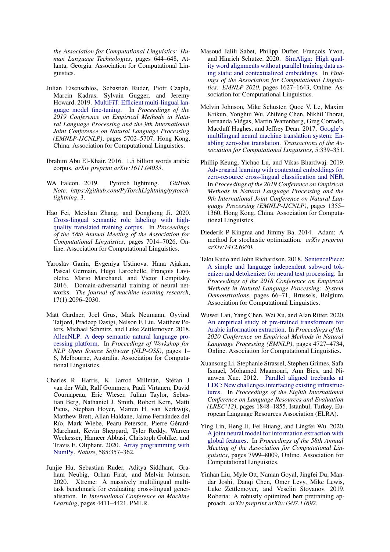*the Association for Computational Linguistics: Human Language Technologies*, pages 644–648, Atlanta, Georgia. Association for Computational Linguistics.

- <span id="page-10-8"></span>Julian Eisenschlos, Sebastian Ruder, Piotr Czapla, Marcin Kadras, Sylvain Gugger, and Jeremy Howard. 2019. [MultiFiT: Efficient multi-lingual lan](https://doi.org/10.18653/v1/D19-1572)[guage model fine-tuning.](https://doi.org/10.18653/v1/D19-1572) In *Proceedings of the 2019 Conference on Empirical Methods in Natural Language Processing and the 9th International Joint Conference on Natural Language Processing (EMNLP-IJCNLP)*, pages 5702–5707, Hong Kong, China. Association for Computational Linguistics.
- <span id="page-10-4"></span>Ibrahim Abu El-Khair. 2016. 1.5 billion words arabic corpus. *arXiv preprint arXiv:1611.04033*.
- <span id="page-10-14"></span>WA Falcon. 2019. Pytorch lightning. *GitHub. Note: https://github.com/PyTorchLightning/pytorchlightning*, 3.
- <span id="page-10-2"></span>Hao Fei, Meishan Zhang, and Donghong Ji. 2020. [Cross-lingual semantic role labeling with high](https://doi.org/10.18653/v1/2020.acl-main.627)[quality translated training corpus.](https://doi.org/10.18653/v1/2020.acl-main.627) In *Proceedings of the 58th Annual Meeting of the Association for Computational Linguistics*, pages 7014–7026, Online. Association for Computational Linguistics.
- <span id="page-10-10"></span>Yaroslav Ganin, Evgeniya Ustinova, Hana Ajakan, Pascal Germain, Hugo Larochelle, François Laviolette, Mario Marchand, and Victor Lempitsky. 2016. Domain-adversarial training of neural networks. *The journal of machine learning research*, 17(1):2096–2030.
- <span id="page-10-12"></span>Matt Gardner, Joel Grus, Mark Neumann, Oyvind Tafjord, Pradeep Dasigi, Nelson F. Liu, Matthew Peters, Michael Schmitz, and Luke Zettlemoyer. 2018. [AllenNLP: A deep semantic natural language pro](https://doi.org/10.18653/v1/W18-2501)[cessing platform.](https://doi.org/10.18653/v1/W18-2501) In *Proceedings of Workshop for NLP Open Source Software (NLP-OSS)*, pages 1– 6, Melbourne, Australia. Association for Computational Linguistics.
- <span id="page-10-13"></span>Charles R. Harris, K. Jarrod Millman, Stéfan J van der Walt, Ralf Gommers, Pauli Virtanen, David Cournapeau, Eric Wieser, Julian Taylor, Sebastian Berg, Nathaniel J. Smith, Robert Kern, Matti Picus, Stephan Hoyer, Marten H. van Kerkwijk, Matthew Brett, Allan Haldane, Jaime Fernández del Río, Mark Wiebe, Pearu Peterson, Pierre Gérard-Marchant, Kevin Sheppard, Tyler Reddy, Warren Weckesser, Hameer Abbasi, Christoph Gohlke, and Travis E. Oliphant. 2020. [Array programming with](https://doi.org/10.1038/s41586-020-2649-2) [NumPy.](https://doi.org/10.1038/s41586-020-2649-2) *Nature*, 585:357–362.
- <span id="page-10-0"></span>Junjie Hu, Sebastian Ruder, Aditya Siddhant, Graham Neubig, Orhan Firat, and Melvin Johnson. 2020. Xtreme: A massively multilingual multitask benchmark for evaluating cross-lingual generalisation. In *International Conference on Machine Learning*, pages 4411–4421. PMLR.
- <span id="page-10-6"></span>Masoud Jalili Sabet, Philipp Dufter, François Yvon, and Hinrich Schütze. 2020. [SimAlign: High qual](https://doi.org/10.18653/v1/2020.findings-emnlp.147)[ity word alignments without parallel training data us](https://doi.org/10.18653/v1/2020.findings-emnlp.147)[ing static and contextualized embeddings.](https://doi.org/10.18653/v1/2020.findings-emnlp.147) In *Findings of the Association for Computational Linguistics: EMNLP 2020*, pages 1627–1643, Online. Association for Computational Linguistics.
- <span id="page-10-9"></span>Melvin Johnson, Mike Schuster, Quoc V. Le, Maxim Krikun, Yonghui Wu, Zhifeng Chen, Nikhil Thorat, Fernanda Viégas, Martin Wattenberg, Greg Corrado, Macduff Hughes, and Jeffrey Dean. 2017. [Google's](https://doi.org/10.1162/tacl_a_00065) [multilingual neural machine translation system: En](https://doi.org/10.1162/tacl_a_00065)[abling zero-shot translation.](https://doi.org/10.1162/tacl_a_00065) *Transactions of the Association for Computational Linguistics*, 5:339–351.
- <span id="page-10-11"></span>Phillip Keung, Yichao Lu, and Vikas Bhardwaj. 2019. [Adversarial learning with contextual embeddings for](https://doi.org/10.18653/v1/D19-1138) [zero-resource cross-lingual classification and NER.](https://doi.org/10.18653/v1/D19-1138) In *Proceedings of the 2019 Conference on Empirical Methods in Natural Language Processing and the 9th International Joint Conference on Natural Language Processing (EMNLP-IJCNLP)*, pages 1355– 1360, Hong Kong, China. Association for Computational Linguistics.
- <span id="page-10-15"></span>Diederik P Kingma and Jimmy Ba. 2014. Adam: A method for stochastic optimization. *arXiv preprint arXiv:1412.6980*.
- <span id="page-10-5"></span>Taku Kudo and John Richardson. 2018. [SentencePiece:](https://doi.org/10.18653/v1/D18-2012) [A simple and language independent subword tok](https://doi.org/10.18653/v1/D18-2012)[enizer and detokenizer for neural text processing.](https://doi.org/10.18653/v1/D18-2012) In *Proceedings of the 2018 Conference on Empirical Methods in Natural Language Processing: System Demonstrations*, pages 66–71, Brussels, Belgium. Association for Computational Linguistics.
- <span id="page-10-1"></span>Wuwei Lan, Yang Chen, Wei Xu, and Alan Ritter. 2020. [An empirical study of pre-trained transformers for](https://doi.org/10.18653/v1/2020.emnlp-main.382) [Arabic information extraction.](https://doi.org/10.18653/v1/2020.emnlp-main.382) In *Proceedings of the 2020 Conference on Empirical Methods in Natural Language Processing (EMNLP)*, pages 4727–4734, Online. Association for Computational Linguistics.
- <span id="page-10-7"></span>Xuansong Li, Stephanie Strassel, Stephen Grimes, Safa Ismael, Mohamed Maamouri, Ann Bies, and Nianwen Xue. 2012. [Parallel aligned treebanks at](http://www.lrec-conf.org/proceedings/lrec2012/pdf/277_Paper.pdf) [LDC: New challenges interfacing existing infrastruc](http://www.lrec-conf.org/proceedings/lrec2012/pdf/277_Paper.pdf)[tures.](http://www.lrec-conf.org/proceedings/lrec2012/pdf/277_Paper.pdf) In *Proceedings of the Eighth International Conference on Language Resources and Evaluation (LREC'12)*, pages 1848–1855, Istanbul, Turkey. European Language Resources Association (ELRA).
- <span id="page-10-3"></span>Ying Lin, Heng Ji, Fei Huang, and Lingfei Wu. 2020. [A joint neural model for information extraction with](https://doi.org/10.18653/v1/2020.acl-main.713) [global features.](https://doi.org/10.18653/v1/2020.acl-main.713) In *Proceedings of the 58th Annual Meeting of the Association for Computational Linguistics*, pages 7999–8009, Online. Association for Computational Linguistics.
- <span id="page-10-16"></span>Yinhan Liu, Myle Ott, Naman Goyal, Jingfei Du, Mandar Joshi, Danqi Chen, Omer Levy, Mike Lewis, Luke Zettlemoyer, and Veselin Stoyanov. 2019. Roberta: A robustly optimized bert pretraining approach. *arXiv preprint arXiv:1907.11692*.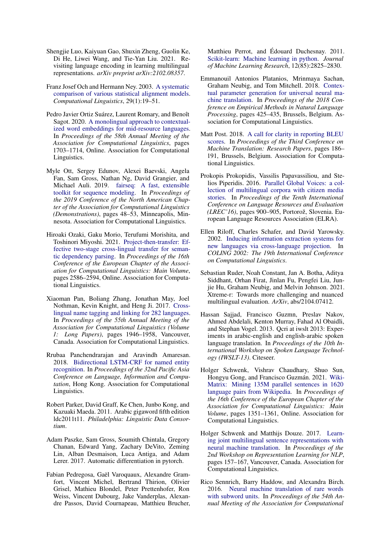- <span id="page-11-15"></span>Shengjie Luo, Kaiyuan Gao, Shuxin Zheng, Guolin Ke, Di He, Liwei Wang, and Tie-Yan Liu. 2021. Revisiting language encoding in learning multilingual representations. *arXiv preprint arXiv:2102.08357*.
- <span id="page-11-11"></span>Franz Josef Och and Hermann Ney. 2003. [A systematic](https://doi.org/10.1162/089120103321337421) [comparison of various statistical alignment models.](https://doi.org/10.1162/089120103321337421) *Computational Linguistics*, 29(1):19–51.
- <span id="page-11-4"></span>Pedro Javier Ortiz Suárez, Laurent Romary, and Benoît Sagot. 2020. [A monolingual approach to contextual](https://doi.org/10.18653/v1/2020.acl-main.156)[ized word embeddings for mid-resource languages.](https://doi.org/10.18653/v1/2020.acl-main.156) In *Proceedings of the 58th Annual Meeting of the Association for Computational Linguistics*, pages 1703–1714, Online. Association for Computational Linguistics.
- <span id="page-11-16"></span>Myle Ott, Sergey Edunov, Alexei Baevski, Angela Fan, Sam Gross, Nathan Ng, David Grangier, and Michael Auli. 2019. [fairseq: A fast, extensible](https://doi.org/10.18653/v1/N19-4009) [toolkit for sequence modeling.](https://doi.org/10.18653/v1/N19-4009) In *Proceedings of the 2019 Conference of the North American Chapter of the Association for Computational Linguistics (Demonstrations)*, pages 48–53, Minneapolis, Minnesota. Association for Computational Linguistics.
- <span id="page-11-13"></span>Hiroaki Ozaki, Gaku Morio, Terufumi Morishita, and Toshinori Miyoshi. 2021. [Project-then-transfer: Ef](https://aclanthology.org/2021.eacl-main.221)[fective two-stage cross-lingual transfer for seman](https://aclanthology.org/2021.eacl-main.221)[tic dependency parsing.](https://aclanthology.org/2021.eacl-main.221) In *Proceedings of the 16th Conference of the European Chapter of the Association for Computational Linguistics: Main Volume*, pages 2586–2594, Online. Association for Computational Linguistics.
- <span id="page-11-1"></span>Xiaoman Pan, Boliang Zhang, Jonathan May, Joel Nothman, Kevin Knight, and Heng Ji. 2017. [Cross](https://doi.org/10.18653/v1/P17-1178)[lingual name tagging and linking for 282 languages.](https://doi.org/10.18653/v1/P17-1178) In *Proceedings of the 55th Annual Meeting of the Association for Computational Linguistics (Volume 1: Long Papers)*, pages 1946–1958, Vancouver, Canada. Association for Computational Linguistics.
- <span id="page-11-2"></span>Rrubaa Panchendrarajan and Aravindh Amaresan. 2018. [Bidirectional LSTM-CRF for named entity](https://aclanthology.org/Y18-1061) [recognition.](https://aclanthology.org/Y18-1061) In *Proceedings of the 32nd Pacific Asia Conference on Language, Information and Computation*, Hong Kong. Association for Computational Linguistics.
- <span id="page-11-3"></span>Robert Parker, David Graff, Ke Chen, Junbo Kong, and Kazuaki Maeda. 2011. Arabic gigaword fifth edition ldc2011t11. *Philadelphia: Linguistic Data Consortium*.
- <span id="page-11-17"></span>Adam Paszke, Sam Gross, Soumith Chintala, Gregory Chanan, Edward Yang, Zachary DeVito, Zeming Lin, Alban Desmaison, Luca Antiga, and Adam Lerer. 2017. Automatic differentiation in pytorch.
- <span id="page-11-18"></span>Fabian Pedregosa, Gaël Varoquaux, Alexandre Gramfort, Vincent Michel, Bertrand Thirion, Olivier Grisel, Mathieu Blondel, Peter Prettenhofer, Ron Weiss, Vincent Dubourg, Jake Vanderplas, Alexandre Passos, David Cournapeau, Matthieu Brucher,

Matthieu Perrot, and Édouard Duchesnay. 2011. [Scikit-learn: Machine learning in python.](http://jmlr.org/papers/v12/pedregosa11a.html) *Journal of Machine Learning Research*, 12(85):2825–2830.

- <span id="page-11-14"></span>Emmanouil Antonios Platanios, Mrinmaya Sachan, Graham Neubig, and Tom Mitchell. 2018. [Contex](https://doi.org/10.18653/v1/D18-1039)[tual parameter generation for universal neural ma](https://doi.org/10.18653/v1/D18-1039)[chine translation.](https://doi.org/10.18653/v1/D18-1039) In *Proceedings of the 2018 Conference on Empirical Methods in Natural Language Processing*, pages 425–435, Brussels, Belgium. Association for Computational Linguistics.
- <span id="page-11-10"></span>Matt Post. 2018. [A call for clarity in reporting BLEU](https://doi.org/10.18653/v1/W18-6319) [scores.](https://doi.org/10.18653/v1/W18-6319) In *Proceedings of the Third Conference on Machine Translation: Research Papers*, pages 186– 191, Brussels, Belgium. Association for Computational Linguistics.
- <span id="page-11-5"></span>Prokopis Prokopidis, Vassilis Papavassiliou, and Stelios Piperidis. 2016. [Parallel Global Voices: a col](https://aclanthology.org/L16-1144)[lection of multilingual corpora with citizen media](https://aclanthology.org/L16-1144) [stories.](https://aclanthology.org/L16-1144) In *Proceedings of the Tenth International Conference on Language Resources and Evaluation (LREC'16)*, pages 900–905, Portorož, Slovenia. European Language Resources Association (ELRA).
- <span id="page-11-12"></span>Ellen Riloff, Charles Schafer, and David Yarowsky. 2002. [Inducing information extraction systems for](https://aclanthology.org/C02-1070) [new languages via cross-language projection.](https://aclanthology.org/C02-1070) In *COLING 2002: The 19th International Conference on Computational Linguistics*.
- <span id="page-11-0"></span>Sebastian Ruder, Noah Constant, Jan A. Botha, Aditya Siddhant, Orhan Firat, Jinlan Fu, Pengfei Liu, Junjie Hu, Graham Neubig, and Melvin Johnson. 2021. Xtreme-r: Towards more challenging and nuanced multilingual evaluation. *ArXiv*, abs/2104.07412.
- <span id="page-11-9"></span>Hassan Sajjad, Francisco Guzmn, Preslav Nakov, Ahmed Abdelali, Kenton Murray, Fahad Al Obaidli, and Stephan Vogel. 2013. Qcri at iwslt 2013: Experiments in arabic-english and english-arabic spoken language translation. In *Proceedings of the 10th International Workshop on Spoken Language Technology (IWSLT-13)*. Citeseer.
- <span id="page-11-6"></span>Holger Schwenk, Vishrav Chaudhary, Shuo Sun, Hongyu Gong, and Francisco Guzmán. 2021. [Wiki-](https://aclanthology.org/2021.eacl-main.115)[Matrix: Mining 135M parallel sentences in 1620](https://aclanthology.org/2021.eacl-main.115) [language pairs from Wikipedia.](https://aclanthology.org/2021.eacl-main.115) In *Proceedings of the 16th Conference of the European Chapter of the Association for Computational Linguistics: Main Volume*, pages 1351–1361, Online. Association for Computational Linguistics.
- <span id="page-11-7"></span>Holger Schwenk and Matthijs Douze. 2017. [Learn](https://doi.org/10.18653/v1/W17-2619)[ing joint multilingual sentence representations with](https://doi.org/10.18653/v1/W17-2619) [neural machine translation.](https://doi.org/10.18653/v1/W17-2619) In *Proceedings of the 2nd Workshop on Representation Learning for NLP*, pages 157–167, Vancouver, Canada. Association for Computational Linguistics.
- <span id="page-11-8"></span>Rico Sennrich, Barry Haddow, and Alexandra Birch. 2016. [Neural machine translation of rare words](https://doi.org/10.18653/v1/P16-1162) [with subword units.](https://doi.org/10.18653/v1/P16-1162) In *Proceedings of the 54th Annual Meeting of the Association for Computational*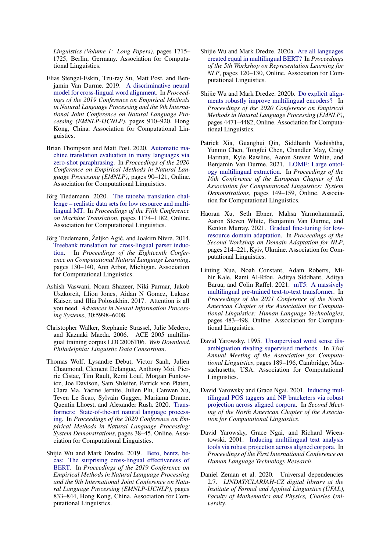*Linguistics (Volume 1: Long Papers)*, pages 1715– 1725, Berlin, Germany. Association for Computational Linguistics.

- <span id="page-12-5"></span>Elias Stengel-Eskin, Tzu-ray Su, Matt Post, and Benjamin Van Durme. 2019. [A discriminative neural](https://doi.org/10.18653/v1/D19-1084) [model for cross-lingual word alignment.](https://doi.org/10.18653/v1/D19-1084) In *Proceedings of the 2019 Conference on Empirical Methods in Natural Language Processing and the 9th International Joint Conference on Natural Language Processing (EMNLP-IJCNLP)*, pages 910–920, Hong Kong, China. Association for Computational Linguistics.
- <span id="page-12-12"></span>Brian Thompson and Matt Post. 2020. [Automatic ma](https://doi.org/10.18653/v1/2020.emnlp-main.8)[chine translation evaluation in many languages via](https://doi.org/10.18653/v1/2020.emnlp-main.8) [zero-shot paraphrasing.](https://doi.org/10.18653/v1/2020.emnlp-main.8) In *Proceedings of the 2020 Conference on Empirical Methods in Natural Language Processing (EMNLP)*, pages 90–121, Online. Association for Computational Linguistics.
- <span id="page-12-13"></span>Jörg Tiedemann. 2020. [The tatoeba translation chal](https://aclanthology.org/2020.wmt-1.139)[lenge – realistic data sets for low resource and multi](https://aclanthology.org/2020.wmt-1.139)[lingual MT.](https://aclanthology.org/2020.wmt-1.139) In *Proceedings of the Fifth Conference on Machine Translation*, pages 1174–1182, Online. Association for Computational Linguistics.
- <span id="page-12-7"></span>Jörg Tiedemann, Željko Agic, and Joakim Nivre. 2014. ´ [Treebank translation for cross-lingual parser induc](https://doi.org/10.3115/v1/W14-1614)[tion.](https://doi.org/10.3115/v1/W14-1614) In *Proceedings of the Eighteenth Conference on Computational Natural Language Learning*, pages 130–140, Ann Arbor, Michigan. Association for Computational Linguistics.
- <span id="page-12-3"></span>Ashish Vaswani, Noam Shazeer, Niki Parmar, Jakob Uszkoreit, Llion Jones, Aidan N Gomez, Łukasz Kaiser, and Illia Polosukhin. 2017. Attention is all you need. *Advances in Neural Information Processing Systems*, 30:5998–6008.
- <span id="page-12-9"></span>Christopher Walker, Stephanie Strassel, Julie Medero, and Kazuaki Maeda. 2006. ACE 2005 multilingual training corpus LDC2006T06. *Web Download. Philadelphia: Linguistic Data Consortium*.
- <span id="page-12-16"></span>Thomas Wolf, Lysandre Debut, Victor Sanh, Julien Chaumond, Clement Delangue, Anthony Moi, Pierric Cistac, Tim Rault, Remi Louf, Morgan Funtowicz, Joe Davison, Sam Shleifer, Patrick von Platen, Clara Ma, Yacine Jernite, Julien Plu, Canwen Xu, Teven Le Scao, Sylvain Gugger, Mariama Drame, Quentin Lhoest, and Alexander Rush. 2020. [Trans](https://doi.org/10.18653/v1/2020.emnlp-demos.6)[formers: State-of-the-art natural language process](https://doi.org/10.18653/v1/2020.emnlp-demos.6)[ing.](https://doi.org/10.18653/v1/2020.emnlp-demos.6) In *Proceedings of the 2020 Conference on Empirical Methods in Natural Language Processing: System Demonstrations*, pages 38–45, Online. Association for Computational Linguistics.
- <span id="page-12-0"></span>Shijie Wu and Mark Dredze. 2019. [Beto, bentz, be](https://doi.org/10.18653/v1/D19-1077)[cas: The surprising cross-lingual effectiveness of](https://doi.org/10.18653/v1/D19-1077) [BERT.](https://doi.org/10.18653/v1/D19-1077) In *Proceedings of the 2019 Conference on Empirical Methods in Natural Language Processing and the 9th International Joint Conference on Natural Language Processing (EMNLP-IJCNLP)*, pages 833–844, Hong Kong, China. Association for Computational Linguistics.
- <span id="page-12-2"></span>Shijie Wu and Mark Dredze. 2020a. [Are all languages](https://doi.org/10.18653/v1/2020.repl4nlp-1.16) [created equal in multilingual BERT?](https://doi.org/10.18653/v1/2020.repl4nlp-1.16) In *Proceedings of the 5th Workshop on Representation Learning for NLP*, pages 120–130, Online. Association for Computational Linguistics.
- <span id="page-12-8"></span>Shijie Wu and Mark Dredze. 2020b. [Do explicit align](https://doi.org/10.18653/v1/2020.emnlp-main.362)[ments robustly improve multilingual encoders?](https://doi.org/10.18653/v1/2020.emnlp-main.362) In *Proceedings of the 2020 Conference on Empirical Methods in Natural Language Processing (EMNLP)*, pages 4471–4482, Online. Association for Computational Linguistics.
- <span id="page-12-11"></span>Patrick Xia, Guanghui Qin, Siddharth Vashishtha, Yunmo Chen, Tongfei Chen, Chandler May, Craig Harman, Kyle Rawlins, Aaron Steven White, and Benjamin Van Durme. 2021. [LOME: Large ontol](https://aclanthology.org/2021.eacl-demos.19)[ogy multilingual extraction.](https://aclanthology.org/2021.eacl-demos.19) In *Proceedings of the 16th Conference of the European Chapter of the Association for Computational Linguistics: System Demonstrations*, pages 149–159, Online. Association for Computational Linguistics.
- <span id="page-12-15"></span>Haoran Xu, Seth Ebner, Mahsa Yarmohammadi, Aaron Steven White, Benjamin Van Durme, and Kenton Murray. 2021. [Gradual fine-tuning for low](https://aclanthology.org/2021.adaptnlp-1.22)[resource domain adaptation.](https://aclanthology.org/2021.adaptnlp-1.22) In *Proceedings of the Second Workshop on Domain Adaptation for NLP*, pages 214–221, Kyiv, Ukraine. Association for Computational Linguistics.
- <span id="page-12-6"></span>Linting Xue, Noah Constant, Adam Roberts, Mihir Kale, Rami Al-Rfou, Aditya Siddhant, Aditya Barua, and Colin Raffel. 2021. [mT5: A massively](https://doi.org/10.18653/v1/2021.naacl-main.41) [multilingual pre-trained text-to-text transformer.](https://doi.org/10.18653/v1/2021.naacl-main.41) In *Proceedings of the 2021 Conference of the North American Chapter of the Association for Computational Linguistics: Human Language Technologies*, pages 483–498, Online. Association for Computational Linguistics.
- <span id="page-12-14"></span>David Yarowsky. 1995. [Unsupervised word sense dis](https://doi.org/10.3115/981658.981684)[ambiguation rivaling supervised methods.](https://doi.org/10.3115/981658.981684) In *33rd Annual Meeting of the Association for Computational Linguistics*, pages 189–196, Cambridge, Massachusetts, USA. Association for Computational Linguistics.
- <span id="page-12-1"></span>David Yarowsky and Grace Ngai. 2001. [Inducing mul](https://aclanthology.org/N01-1026)[tilingual POS taggers and NP bracketers via robust](https://aclanthology.org/N01-1026) [projection across aligned corpora.](https://aclanthology.org/N01-1026) In *Second Meeting of the North American Chapter of the Association for Computational Linguistics*.
- <span id="page-12-4"></span>David Yarowsky, Grace Ngai, and Richard Wicentowski. 2001. [Inducing multilingual text analysis](https://aclanthology.org/H01-1035) [tools via robust projection across aligned corpora.](https://aclanthology.org/H01-1035) In *Proceedings of the First International Conference on Human Language Technology Research*.
- <span id="page-12-10"></span>Daniel Zeman et al. 2020. Universal dependencies 2.7. *LINDAT/CLARIAH-CZ digital library at the Institute of Formal and Applied Linguistics (ÚFAL), Faculty of Mathematics and Physics, Charles University*.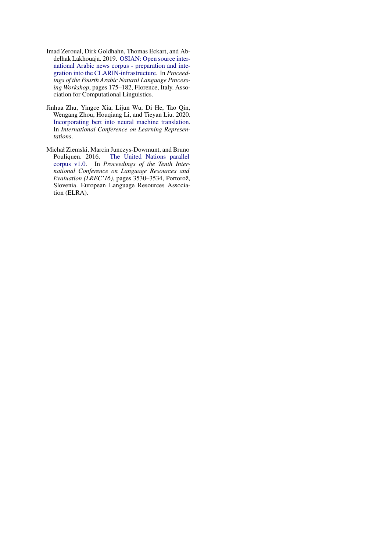- <span id="page-13-0"></span>Imad Zeroual, Dirk Goldhahn, Thomas Eckart, and Abdelhak Lakhouaja. 2019. [OSIAN: Open source inter](https://doi.org/10.18653/v1/W19-4619)[national Arabic news corpus - preparation and inte](https://doi.org/10.18653/v1/W19-4619)[gration into the CLARIN-infrastructure.](https://doi.org/10.18653/v1/W19-4619) In *Proceedings of the Fourth Arabic Natural Language Processing Workshop*, pages 175–182, Florence, Italy. Association for Computational Linguistics.
- <span id="page-13-2"></span>Jinhua Zhu, Yingce Xia, Lijun Wu, Di He, Tao Qin, Wengang Zhou, Houqiang Li, and Tieyan Liu. 2020. [Incorporating bert into neural machine translation.](https://openreview.net/forum?id=Hyl7ygStwB) In *International Conference on Learning Representations*.
- <span id="page-13-1"></span>Michał Ziemski, Marcin Junczys-Dowmunt, and Bruno<br>Pouliquen. 2016. The United Nations parallel [The United Nations parallel](https://aclanthology.org/L16-1561) [corpus v1.0.](https://aclanthology.org/L16-1561) In *Proceedings of the Tenth International Conference on Language Resources and Evaluation (LREC'16)*, pages 3530–3534, Portorož, Slovenia. European Language Resources Association (ELRA).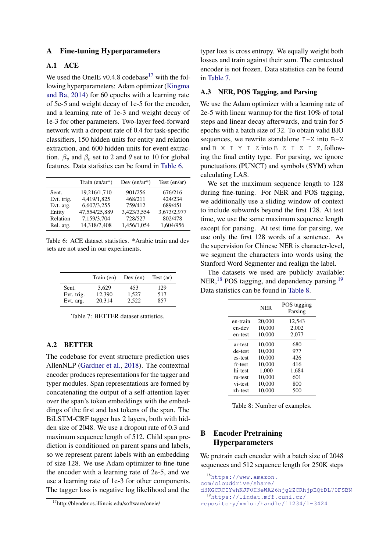## <span id="page-14-0"></span>A Fine-tuning Hyperparameters

## A.1 ACE

We used the OneIE v0.4.8 codebase<sup>[17](#page-14-2)</sup> with the following hyperparameters: Adam optimizer [\(Kingma](#page-10-15) [and Ba,](#page-10-15) [2014\)](#page-10-15) for 60 epochs with a learning rate of 5e-5 and weight decay of 1e-5 for the encoder, and a learning rate of 1e-3 and weight decay of 1e-3 for other parameters. Two-layer feed-forward network with a dropout rate of 0.4 for task-specific classifiers, 150 hidden units for entity and relation extraction, and 600 hidden units for event extraction.  $\beta_v$  and  $\beta_e$  set to 2 and  $\theta$  set to 10 for global features. Data statistics can be found in [Table 6.](#page-14-3)

<span id="page-14-3"></span>

|            | Train $(en/ar^*)$ | Dev $(en/ar^*)$ | Test $(en/ar)$ |
|------------|-------------------|-----------------|----------------|
| Sent.      | 19,216/1,710      | 901/256         | 676/216        |
| Evt. trig. | 4,419/1,825       | 468/211         | 424/234        |
| Evt. arg.  | 6,607/3,255       | 759/412         | 689/451        |
| Entity     | 47,554/25,889     | 3,423/3,554     | 3,673/2,977    |
| Relation   | 7,159/3,704       | 728/527         | 802/478        |
| Rel. arg.  | 14,318/7,408      | 1,456/1,054     | 1,604/956      |

Table 6: ACE dataset statistics. \*Arabic train and dev sets are not used in our experiments.

<span id="page-14-4"></span>

|                     | Train (en)      | Dev (en)     | Test (ar)  |
|---------------------|-----------------|--------------|------------|
| Sent.<br>Evt. trig. | 3.629<br>12,390 | 453<br>1,527 | 129<br>517 |
| Evt. arg.           | 20,314          | 2.522        | 857        |

Table 7: BETTER dataset statistics.

## A.2 BETTER

The codebase for event structure prediction uses AllenNLP [\(Gardner et al.,](#page-10-12) [2018\)](#page-10-12). The contextual encoder produces representations for the tagger and typer modules. Span representations are formed by concatenating the output of a self-attention layer over the span's token embeddings with the embeddings of the first and last tokens of the span. The BiLSTM-CRF tagger has 2 layers, both with hidden size of 2048. We use a dropout rate of 0.3 and maximum sequence length of 512. Child span prediction is conditioned on parent spans and labels, so we represent parent labels with an embedding of size 128. We use Adam optimizer to fine-tune the encoder with a learning rate of 2e-5, and we use a learning rate of 1e-3 for other components. The tagger loss is negative log likelihood and the

typer loss is cross entropy. We equally weight both losses and train against their sum. The contextual encoder is not frozen. Data statistics can be found in [Table 7.](#page-14-4)

## A.3 NER, POS Tagging, and Parsing

We use the Adam optimizer with a learning rate of 2e-5 with linear warmup for the first 10% of total steps and linear decay afterwards, and train for 5 epochs with a batch size of 32. To obtain valid BIO sequences, we rewrite standalone  $I-X$  into  $B-X$ and  $B-X$  I-Y I-Z into  $B-Z$  I-Z I-Z, following the final entity type. For parsing, we ignore punctuations (PUNCT) and symbols (SYM) when calculating LAS.

We set the maximum sequence length to 128 during fine-tuning. For NER and POS tagging, we additionally use a sliding window of context to include subwords beyond the first 128. At test time, we use the same maximum sequence length except for parsing. At test time for parsing, we use only the first 128 words of a sentence. As the supervision for Chinese NER is character-level, we segment the characters into words using the Stanford Word Segmenter and realign the label.

<span id="page-14-7"></span>The datasets we used are publicly available: NER,<sup>[18](#page-14-5)</sup> POS tagging, and dependency parsing.<sup>[19](#page-14-6)</sup> Data statistics can be found in [Table 8.](#page-14-7)

|          | <b>NER</b> | POS tagging<br>Parsing |
|----------|------------|------------------------|
| en-train | 20,000     | 12,543                 |
| en-dev   | 10.000     | 2,002                  |
| en-test  | 10,000     | 2,077                  |
| ar-test  | 10.000     | 680                    |
| de-test  | 10.000     | 977                    |
| es-test  | 10.000     | 426                    |
| fr-test  | 10.000     | 416                    |
| hi-test  | 1.000      | 1,684                  |
| ru-test  | 10.000     | 601                    |
| vi-test  | 10.000     | 800                    |
| zh-test  | 10,000     | 500                    |

Table 8: Number of examples.

## <span id="page-14-1"></span>B Encoder Pretraining Hyperparameters

We pretrain each encoder with a batch size of 2048 sequences and 512 sequence length for 250K steps

<span id="page-14-5"></span><sup>18</sup>[https://www.amazon.](https://www.amazon.com/clouddrive/share/d3KGCRCIYwhKJF0H3eWA26hjg2ZCRhjpEQtDL70FSBN) [com/clouddrive/share/](https://www.amazon.com/clouddrive/share/d3KGCRCIYwhKJF0H3eWA26hjg2ZCRhjpEQtDL70FSBN) [d3KGCRCIYwhKJF0H3eWA26hjg2ZCRhjpEQtDL70FSBN](https://www.amazon.com/clouddrive/share/d3KGCRCIYwhKJF0H3eWA26hjg2ZCRhjpEQtDL70FSBN) <sup>19</sup>[https://lindat.mff.cuni.cz/](https://lindat.mff.cuni.cz/repository/xmlui/handle/11234/1-3424)

<span id="page-14-2"></span><sup>17</sup>http://blender.cs.illinois.edu/software/oneie/

<span id="page-14-6"></span>[repository/xmlui/handle/11234/1-3424](https://lindat.mff.cuni.cz/repository/xmlui/handle/11234/1-3424)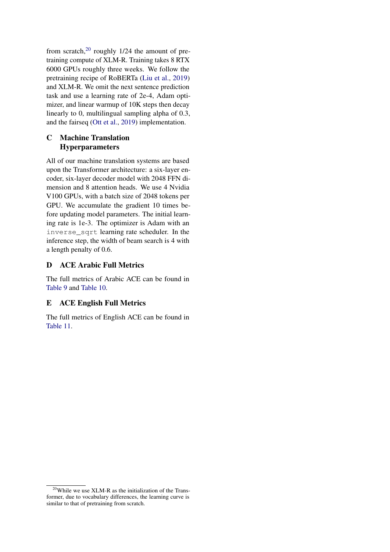from scratch, $20$  roughly 1/24 the amount of pretraining compute of XLM-R. Training takes 8 RTX 6000 GPUs roughly three weeks. We follow the pretraining recipe of RoBERTa [\(Liu et al.,](#page-10-16) [2019\)](#page-10-16) and XLM-R. We omit the next sentence prediction task and use a learning rate of 2e-4, Adam optimizer, and linear warmup of 10K steps then decay linearly to 0, multilingual sampling alpha of 0.3, and the fairseq [\(Ott et al.,](#page-11-16) [2019\)](#page-11-16) implementation.

# <span id="page-15-0"></span>C Machine Translation Hyperparameters

All of our machine translation systems are based upon the Transformer architecture: a six-layer encoder, six-layer decoder model with 2048 FFN dimension and 8 attention heads. We use 4 Nvidia V100 GPUs, with a batch size of 2048 tokens per GPU. We accumulate the gradient 10 times before updating model parameters. The initial learning rate is 1e-3. The optimizer is Adam with an inverse\_sqrt learning rate scheduler. In the inference step, the width of beam search is 4 with a length penalty of 0.6.

# <span id="page-15-2"></span>D ACE Arabic Full Metrics

The full metrics of Arabic ACE can be found in [Table 9](#page-16-0) and [Table 10.](#page-17-0)

## <span id="page-15-1"></span>E ACE English Full Metrics

The full metrics of English ACE can be found in [Table 11.](#page-17-1)

<span id="page-15-3"></span> $20$ While we use XLM-R as the initialization of the Transformer, due to vocabulary differences, the learning curve is similar to that of pretraining from scratch.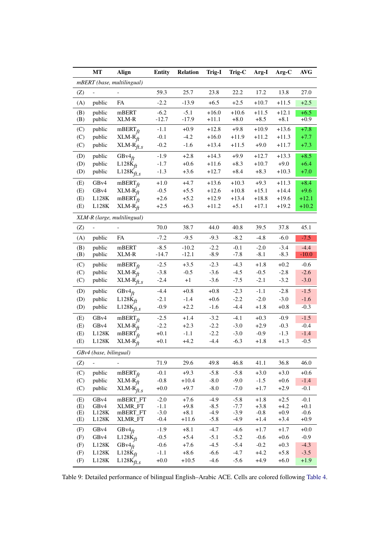<span id="page-16-0"></span>

|            | MT                     | Align                          | <b>Entity</b>    | <b>Relation</b>   | Trig-I           | Trig-C           | Arg-I            | Arg-C            | <b>AVG</b>       |
|------------|------------------------|--------------------------------|------------------|-------------------|------------------|------------------|------------------|------------------|------------------|
|            |                        | mBERT (base, multilingual)     |                  |                   |                  |                  |                  |                  |                  |
| (Z)        |                        |                                | 59.3             | 25.7              | 23.8             | 22.2             | 17.2             | 13.8             | 27.0             |
| (A)        | public                 | FA                             | $-2.2$           | $-13.9$           | $+6.5$           | $+2.5$           | $+10.7$          | $+11.5$          | $+2.5$           |
| (B)        | public                 | mBERT                          | $-6.2$           | $-5.1$            | $+16.0$          | $+10.6$          | $+11.5$          | $+12.1$          | $+6.5$           |
| (B)        | public                 | XLM-R                          | $-12.7$          | $-17.9$           | $+11.1$          | $+8.0$           | $+8.5$           | $+8.1$           | $+0.9$           |
| (C)        | public                 | $mBERT_{ft}$                   | $-1.1$           | $+0.9$            | $+12.8$          | $+9.8$           | $+10.9$          | $+13.6$          | $+7.8$           |
| (C)        | public                 | $XLM-R_{ft}$                   | $-0.1$           | $-4.2$            | $+16.0$          | $+11.9$          | $+11.2$          | $+11.3$          | $+7.7$           |
| (C)        | public                 | $XLM-R_{ft,s}$                 | $-0.2$           | $-1.6$            | $+13.4$          | $+11.5$          | $+9.0$           | $+11.7$          | $+7.3$           |
| (D)        | public                 | GB $v4ft$                      | $-1.9$           | $+2.8$            | $+14.3$          | $+9.9$           | $+12.7$          | $+13.3$          | $+8.5$           |
| (D)        | public                 | $L128K_{ft}$                   | $-1.7$           | $+0.6$            | $+11.6$          | $+8.3$           | $+10.7$          | $+9.0$           | $+6.4$           |
| (D)        | public                 | $_{\rm L128K_{\it \! fit. S}}$ | $-1.3$           | $+3.6$            | $+12.7$          | $+8.4$           | $+8.3$           | $+10.3$          | $+7.0$           |
| (E)        | GB <sub>v4</sub>       | $mBERT_{ft}$                   | $+1.0$           | $+4.7$            | $+13.6$          | $+10.3$          | $+9.3$           | $+11.3$          | $+8.4$           |
| (E)        | GB <sub>v4</sub>       | $XLM-R_H$                      | $-0.5$           | $+5.5$            | $+12.6$          | $+10.8$          | $+15.1$          | $+14.4$          | $+9.6$           |
| (E)        | L128K                  | mBERT $\dot{f}_t$              | $+2.6$           | $+5.2$            | $+12.9$          | $+13.4$          | $+18.8$          | $+19.6$          | $+12.1$          |
| (E)        | $_{\rm L128K}$         | $XLM-R_{ft}$                   | $+2.5$           | $+6.3$            | $+11.2$          | $+5.1$           | $+17.1$          | $+19.2$          | $+10.2$          |
|            |                        | XLM-R (large, multilingual)    |                  |                   |                  |                  |                  |                  |                  |
| (Z)        |                        |                                | 70.0             | 38.7              | 44.0             | 40.8             | 39.5             | 37.8             | 45.1             |
| (A)        | public                 | FA                             | $-7.2$           | $-9.5$            | $-9.3$           | $-8.2$           | $-4.8$           | $-6.0$           | $-7.5$           |
| (B)        | public                 | mBERT                          | $-8.5$           | $-10.2$           | $-2.2$           | $-0.1$           | $-2.0$           | $-3.4$           | $-4.4$           |
| (B)        | public                 | XLM-R                          | $-14.7$          | $-12.1$           | $-8.9$           | $-7.8$           | $-8.1$           | $-8.3$           | $-10.0$          |
| (C)        | public                 | $mBERT_{ft}$                   | $-2.5$           | $+3.5$            | $-2.3$           | $-4.3$           | $+1.8$           | $+0.2$           | $-0.6$           |
| (C)        | public                 | $XLM-R$ <sub>ft</sub>          | $-3.8$           | $-0.5$            | $-3.6$           | $-4.5$           | $-0.5$           | $-2.8$           | $-2.6$           |
| (C)        | public                 | $XLM-R_{ft,s}$                 | $-2.4$           | $+1$              | $-3.6$           | $-7.5$           | $-2.1$           | $-3.2$           | $-3.0$           |
| (D)        | public                 | $GBv4_{ft}$                    | $-4.4$           | $+0.8$            | $+0.8$           | $-2.3$           | $-1.1$           | $-2.8$           | $-1.5$           |
| (D)        | public                 | $L128K_{ft}$                   | $-2.1$           | $-1.4$            | $+0.6$           | $-2.2$           | $-2.0$           | $-3.0$           | $-1.6$           |
| (D)        | public                 | $L128K$ ft.s                   | $-0.9$           | $+2.2$            | $-1.6$           | $-4.4$           | $+1.8$           | $+0.8$           | $-0.3$           |
| (E)        | GBv4                   | $mBERT_{ft}$                   | $-2.5$           | $+1.4$            | $-3.2$           | $-4.1$           | $+0.3$           | $-0.9$           | $-1.5$           |
| (E)        | GB <sub>v4</sub>       | $XLM-R$ <sub>ft</sub>          | $-2.2$           | $+2.3$            | $-2.2$           | $-3.0$           | $+2.9$           | $-0.3$           | $-0.4$           |
| (E)        | L128K                  | $mBERT_{ft}$                   | $+0.1$           | $-1.1$            | $-2.2$           | $-3.0$           | $-0.9$           | $-1.3$           | $-1.4$           |
| (E)        | L128K                  | $XLM-R_{ft}$                   | $+0.1$           | $+4.2$            | $-4.4$           | $-6.3$           | $+1.8$           | $+1.3$           | $-0.5$           |
|            | GBv4 (base, bilingual) |                                |                  |                   |                  |                  |                  |                  |                  |
| (Z)        | $\overline{a}$         |                                | 71.9             | 29.6              | 49.8             | 46.8             | 41.1             | 36.8             | 46.0             |
| (C)        | public                 | $mBERT_{ft}$                   | $-0.1$           | $+9.3$            | $-5.8$           | $-5.8$           | $+3.0$           | $+3.0$           | $+0.6$           |
| (C)        | public                 | $XLM-R$ <sub>ft</sub>          | $-0.8$           | $+10.4$           | $-8.0$           | $-9.0$           | $-1.5$           | $+0.6$           | $-1.4$           |
| (C)        | public                 | $XLM-R$ ft.s                   | $+0.0$           | $+9.7$            | $-8.0$           | $-7.0$           | $+1.7$           | $+2.9$           | $-0.1$           |
| (E)        | GB <sub>v4</sub>       | $\rm mBERT\_FT$                | $-2.0$           | $+7.6$            | $-4.9$           | $-5.8$           | $+1.8$           | $+2.5$           | $-0.1$           |
| (E)        | GB <sub>v4</sub>       | <b>XLMR_FT</b>                 | $-1.1$           | $+9.8$            | $-8.5$           | $-7.7$           | $+3.8$           | $+4.2$           | $+0.1$           |
| (E)        | L128K                  | mBERT_FT                       | $-3.0$           | $+8.1$            | $-4.9$           | $-3.9$           | $-0.8$           | $+0.9$           | $-0.6$           |
| (E)        | L128K                  | XLMR_FT                        | $-0.4$           | $+11.6$           | $-5.8$           | $-4.9$           | $+1.4$           | $+3.4$           | $+0.9$           |
| (F)        | GB <sub>v4</sub>       | $GBv4_{ft}$                    | $-1.9$           | $+8.1$            | $-4.7$           | $-4.6$           | $+1.7$           | $+1.7$           | $+0.0$           |
| (F)        | GB <sub>v4</sub>       | $L128K_{ft}$                   | $-0.5$           | $+5.4$            | $-5.1$           | $-5.2$           | $-0.6$           | $+0.6$           | $-0.9$           |
| (F)        | L128K                  | $GBv4_{ft}$                    | $-0.6$           | $+7.6$            | $-4.5$           | $-5.4$           | $-0.2$           | $+0.3$           | $-4.3$           |
| (F)<br>(F) | L128K<br>L128K         | $L128K_{ft}$<br>$L128K_{ft,s}$ | $-1.1$<br>$+0.0$ | $+8.6$<br>$+10.5$ | $-6.6$<br>$-4.6$ | $-4.7$<br>$-5.6$ | $+4.2$<br>$+4.9$ | $+5.8$<br>$+6.0$ | $-3.5$<br>$+1.9$ |
|            |                        |                                |                  |                   |                  |                  |                  |                  |                  |

Table 9: Detailed performance of bilingual English–Arabic ACE. Cells are colored following [Table 4.](#page-6-0)